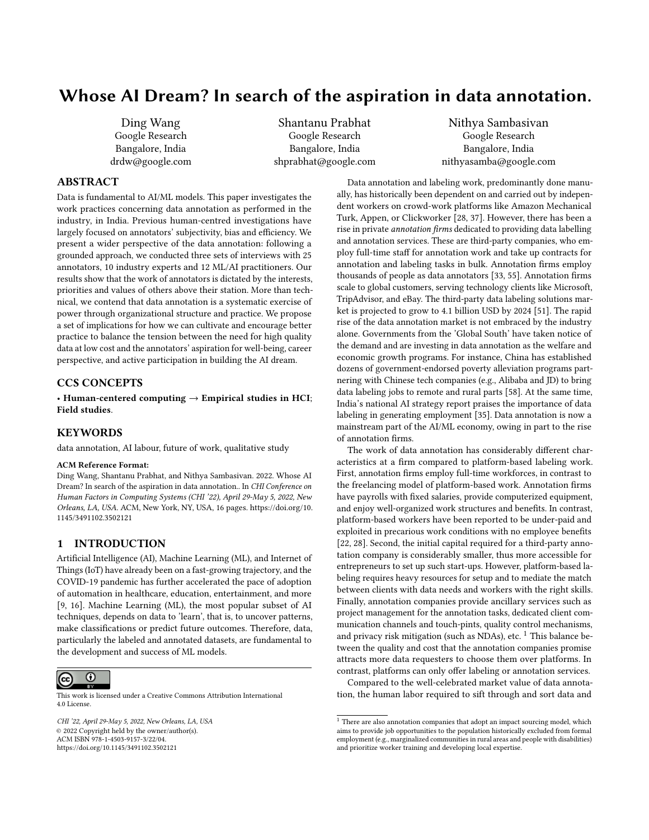# Whose AI Dream? In search of the aspiration in data annotation.

Ding Wang Google Research Bangalore, India drdw@google.com

Shantanu Prabhat Google Research Bangalore, India shprabhat@google.com

Nithya Sambasivan Google Research Bangalore, India nithyasamba@google.com

## ABSTRACT

Data is fundamental to AI/ML models. This paper investigates the work practices concerning data annotation as performed in the industry, in India. Previous human-centred investigations have largely focused on annotators' subjectivity, bias and efficiency. We present a wider perspective of the data annotation: following a grounded approach, we conducted three sets of interviews with 25 annotators, 10 industry experts and 12 ML/AI practitioners. Our results show that the work of annotators is dictated by the interests, priorities and values of others above their station. More than technical, we contend that data annotation is a systematic exercise of power through organizational structure and practice. We propose a set of implications for how we can cultivate and encourage better practice to balance the tension between the need for high quality data at low cost and the annotators' aspiration for well-being, career perspective, and active participation in building the AI dream.

## CCS CONCEPTS

• Human-centered computing  $\rightarrow$  Empirical studies in HCI; Field studies.

## **KEYWORDS**

data annotation, AI labour, future of work, qualitative study

#### ACM Reference Format:

Ding Wang, Shantanu Prabhat, and Nithya Sambasivan. 2022. Whose AI Dream? In search of the aspiration in data annotation.. In CHI Conference on Human Factors in Computing Systems (CHI '22), April 29-May 5, 2022, New Orleans, LA, USA. ACM, New York, NY, USA, [16](#page-15-0) pages. [https://doi.org/10.](https://doi.org/10.1145/3491102.3502121) [1145/3491102.3502121](https://doi.org/10.1145/3491102.3502121)

## 1 INTRODUCTION

Artificial Intelligence (AI), Machine Learning (ML), and Internet of Things (IoT) have already been on a fast-growing trajectory, and the COVID-19 pandemic has further accelerated the pace of adoption of automation in healthcare, education, entertainment, and more [\[9,](#page-14-0) [16\]](#page-14-1). Machine Learning (ML), the most popular subset of AI techniques, depends on data to 'learn', that is, to uncover patterns, make classifications or predict future outcomes. Therefore, data, particularly the labeled and annotated datasets, are fundamental to the development and success of ML models.



This work is licensed under a [Creative Commons Attribution International](https://creativecommons.org/licenses/by/4.0/) [4.0 License.](https://creativecommons.org/licenses/by/4.0/)

CHI '22, April 29-May 5, 2022, New Orleans, LA, USA © 2022 Copyright held by the owner/author(s). ACM ISBN 978-1-4503-9157-3/22/04. <https://doi.org/10.1145/3491102.3502121>

Data annotation and labeling work, predominantly done manually, has historically been dependent on and carried out by independent workers on crowd-work platforms like Amazon Mechanical Turk, Appen, or Clickworker [\[28,](#page-14-2) [37\]](#page-15-1). However, there has been a rise in private annotation firms dedicated to providing data labelling and annotation services. These are third-party companies, who employ full-time staff for annotation work and take up contracts for annotation and labeling tasks in bulk. Annotation firms employ thousands of people as data annotators [\[33,](#page-14-3) [55\]](#page-15-2). Annotation firms scale to global customers, serving technology clients like Microsoft, TripAdvisor, and eBay. The third-party data labeling solutions market is projected to grow to 4.1 billion USD by 2024 [\[51\]](#page-15-3). The rapid rise of the data annotation market is not embraced by the industry alone. Governments from the 'Global South' have taken notice of the demand and are investing in data annotation as the welfare and economic growth programs. For instance, China has established dozens of government-endorsed poverty alleviation programs partnering with Chinese tech companies (e.g., Alibaba and JD) to bring data labeling jobs to remote and rural parts [\[58\]](#page-15-4). At the same time, India's national AI strategy report praises the importance of data labeling in generating employment [\[35\]](#page-14-4). Data annotation is now a mainstream part of the AI/ML economy, owing in part to the rise of annotation firms.

The work of data annotation has considerably different characteristics at a firm compared to platform-based labeling work. First, annotation firms employ full-time workforces, in contrast to the freelancing model of platform-based work. Annotation firms have payrolls with fixed salaries, provide computerized equipment, and enjoy well-organized work structures and benefits. In contrast, platform-based workers have been reported to be under-paid and exploited in precarious work conditions with no employee benefits [\[22,](#page-14-5) [28\]](#page-14-2). Second, the initial capital required for a third-party annotation company is considerably smaller, thus more accessible for entrepreneurs to set up such start-ups. However, platform-based labeling requires heavy resources for setup and to mediate the match between clients with data needs and workers with the right skills. Finally, annotation companies provide ancillary services such as project management for the annotation tasks, dedicated client communication channels and touch-pints, quality control mechanisms, and privacy risk mitigation (such as NDAs), etc.  $1$  This balance between the quality and cost that the annotation companies promise attracts more data requesters to choose them over platforms. In contrast, platforms can only offer labeling or annotation services.

Compared to the well-celebrated market value of data annotation, the human labor required to sift through and sort data and

<span id="page-0-0"></span> $^{\rm 1}$  There are also annotation companies that adopt an impact sourcing model, which aims to provide job opportunities to the population historically excluded from formal employment (e.g., marginalized communities in rural areas and people with disabilities) and prioritize worker training and developing local expertise.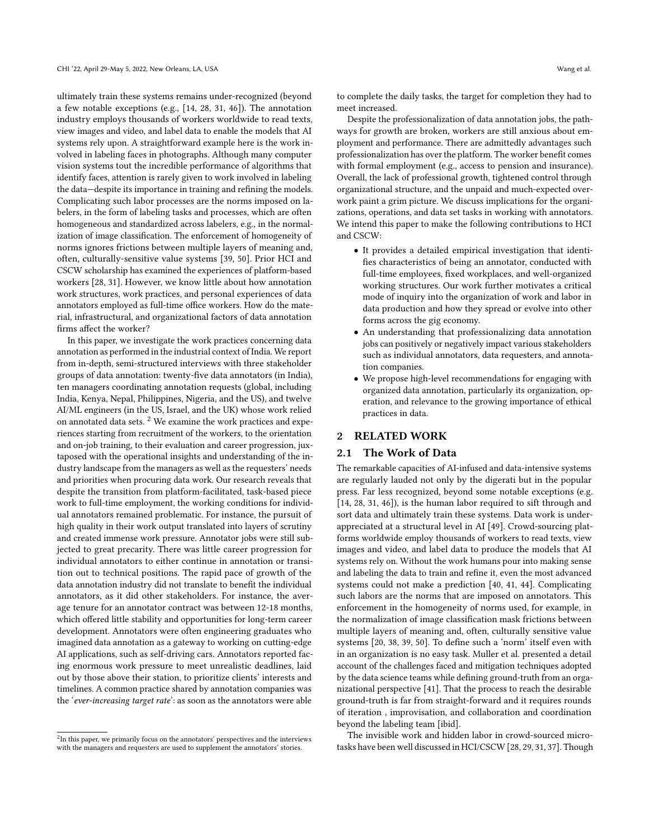ultimately train these systems remains under-recognized (beyond a few notable exceptions (e.g., [\[14,](#page-14-6) [28,](#page-14-2) [31,](#page-14-7) [46\]](#page-15-5)). The annotation industry employs thousands of workers worldwide to read texts, view images and video, and label data to enable the models that AI systems rely upon. A straightforward example here is the work involved in labeling faces in photographs. Although many computer vision systems tout the incredible performance of algorithms that identify faces, attention is rarely given to work involved in labeling the data—despite its importance in training and refining the models. Complicating such labor processes are the norms imposed on labelers, in the form of labeling tasks and processes, which are often homogeneous and standardized across labelers, e.g., in the normalization of image classification. The enforcement of homogeneity of norms ignores frictions between multiple layers of meaning and, often, culturally-sensitive value systems [\[39,](#page-15-6) [50\]](#page-15-7). Prior HCI and CSCW scholarship has examined the experiences of platform-based workers [\[28,](#page-14-2) [31\]](#page-14-7). However, we know little about how annotation work structures, work practices, and personal experiences of data annotators employed as full-time office workers. How do the material, infrastructural, and organizational factors of data annotation firms affect the worker?

In this paper, we investigate the work practices concerning data annotation as performed in the industrial context of India. We report from in-depth, semi-structured interviews with three stakeholder groups of data annotation: twenty-five data annotators (in India), ten managers coordinating annotation requests (global, including India, Kenya, Nepal, Philippines, Nigeria, and the US), and twelve AI/ML engineers (in the US, Israel, and the UK) whose work relied on annotated data sets.  $2$  We examine the work practices and experiences starting from recruitment of the workers, to the orientation and on-job training, to their evaluation and career progression, juxtaposed with the operational insights and understanding of the industry landscape from the managers as well as the requesters' needs and priorities when procuring data work. Our research reveals that despite the transition from platform-facilitated, task-based piece work to full-time employment, the working conditions for individual annotators remained problematic. For instance, the pursuit of high quality in their work output translated into layers of scrutiny and created immense work pressure. Annotator jobs were still subjected to great precarity. There was little career progression for individual annotators to either continue in annotation or transition out to technical positions. The rapid pace of growth of the data annotation industry did not translate to benefit the individual annotators, as it did other stakeholders. For instance, the average tenure for an annotator contract was between 12-18 months, which offered little stability and opportunities for long-term career development. Annotators were often engineering graduates who imagined data annotation as a gateway to working on cutting-edge AI applications, such as self-driving cars. Annotators reported facing enormous work pressure to meet unrealistic deadlines, laid out by those above their station, to prioritize clients' interests and timelines. A common practice shared by annotation companies was the 'ever-increasing target rate': as soon as the annotators were able

to complete the daily tasks, the target for completion they had to meet increased.

Despite the professionalization of data annotation jobs, the pathways for growth are broken, workers are still anxious about employment and performance. There are admittedly advantages such professionalization has over the platform. The worker benefit comes with formal employment (e.g., access to pension and insurance). Overall, the lack of professional growth, tightened control through organizational structure, and the unpaid and much-expected overwork paint a grim picture. We discuss implications for the organizations, operations, and data set tasks in working with annotators. We intend this paper to make the following contributions to HCI and CSCW:

- It provides a detailed empirical investigation that identifies characteristics of being an annotator, conducted with full-time employees, fixed workplaces, and well-organized working structures. Our work further motivates a critical mode of inquiry into the organization of work and labor in data production and how they spread or evolve into other forms across the gig economy.
- An understanding that professionalizing data annotation jobs can positively or negatively impact various stakeholders such as individual annotators, data requesters, and annotation companies.
- We propose high-level recommendations for engaging with organized data annotation, particularly its organization, operation, and relevance to the growing importance of ethical practices in data.

## 2 RELATED WORK

#### 2.1 The Work of Data

The remarkable capacities of AI-infused and data-intensive systems are regularly lauded not only by the digerati but in the popular press. Far less recognized, beyond some notable exceptions (e.g. [\[14,](#page-14-6) [28,](#page-14-2) [31,](#page-14-7) [46\]](#page-15-5)), is the human labor required to sift through and sort data and ultimately train these systems. Data work is underappreciated at a structural level in AI [\[49\]](#page-15-8). Crowd-sourcing platforms worldwide employ thousands of workers to read texts, view images and video, and label data to produce the models that AI systems rely on. Without the work humans pour into making sense and labeling the data to train and refine it, even the most advanced systems could not make a prediction [\[40,](#page-15-9) [41,](#page-15-10) [44\]](#page-15-11). Complicating such labors are the norms that are imposed on annotators. This enforcement in the homogeneity of norms used, for example, in the normalization of image classification mask frictions between multiple layers of meaning and, often, culturally sensitive value systems [\[20,](#page-14-8) [38,](#page-15-12) [39,](#page-15-6) [50\]](#page-15-7). To define such a 'norm' itself even with in an organization is no easy task. Muller et al. presented a detail account of the challenges faced and mitigation techniques adopted by the data science teams while defining ground-truth from an organizational perspective [\[41\]](#page-15-10). That the process to reach the desirable ground-truth is far from straight-forward and it requires rounds of iteration , improvisation, and collaboration and coordination beyond the labeling team [ibid].

The invisible work and hidden labor in crowd-sourced microtasks have been well discussed in HCI/CSCW [\[28,](#page-14-2) [29,](#page-14-9) [31,](#page-14-7) [37\]](#page-15-1). Though

<span id="page-1-0"></span> ${}^{2}$ In this paper, we primarily focus on the annotators' perspectives and the interviews with the managers and requesters are used to supplement the annotators' stories.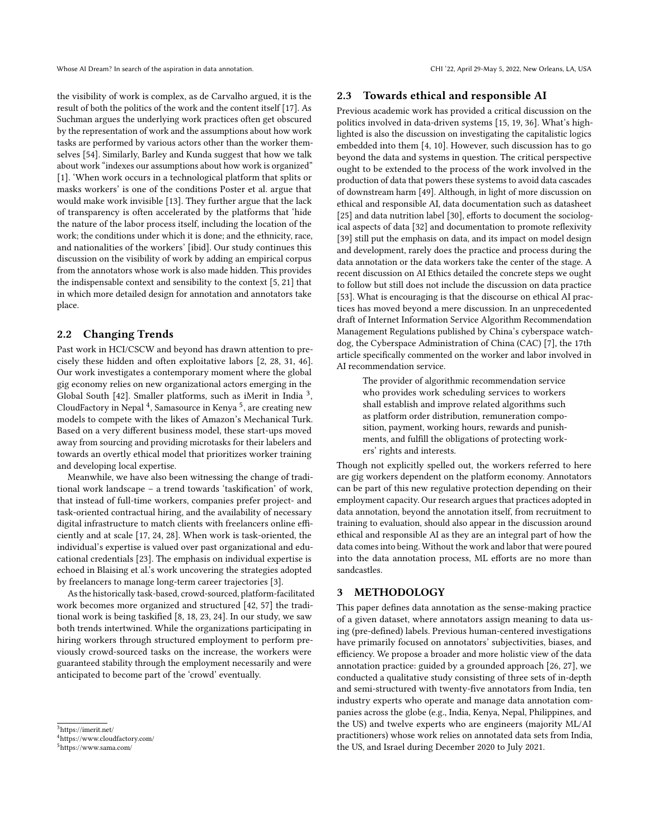the visibility of work is complex, as de Carvalho argued, it is the result of both the politics of the work and the content itself [\[17\]](#page-14-10). As Suchman argues the underlying work practices often get obscured by the representation of work and the assumptions about how work tasks are performed by various actors other than the worker themselves [\[54\]](#page-15-13). Similarly, Barley and Kunda suggest that how we talk about work "indexes our assumptions about how work is organized" [\[1\]](#page-14-11). 'When work occurs in a technological platform that splits or masks workers' is one of the conditions Poster et al. argue that would make work invisible [\[13\]](#page-14-12). They further argue that the lack of transparency is often accelerated by the platforms that 'hide the nature of the labor process itself, including the location of the work; the conditions under which it is done; and the ethnicity, race, and nationalities of the workers' [ibid]. Our study continues this discussion on the visibility of work by adding an empirical corpus from the annotators whose work is also made hidden. This provides the indispensable context and sensibility to the context [\[5,](#page-14-13) [21\]](#page-14-14) that in which more detailed design for annotation and annotators take place.

## 2.2 Changing Trends

Past work in HCI/CSCW and beyond has drawn attention to precisely these hidden and often exploitative labors [\[2,](#page-14-15) [28,](#page-14-2) [31,](#page-14-7) [46\]](#page-15-5). Our work investigates a contemporary moment where the global gig economy relies on new organizational actors emerging in the Global South [\[42\]](#page-15-14). Smaller platforms, such as iMerit in India<sup>[3](#page-2-0)</sup>, CloudFactory in Nepal  $^4$  $^4$ , Samasource in Kenya $^5$  $^5$ , are creating new models to compete with the likes of Amazon's Mechanical Turk. Based on a very different business model, these start-ups moved away from sourcing and providing microtasks for their labelers and towards an overtly ethical model that prioritizes worker training and developing local expertise.

Meanwhile, we have also been witnessing the change of traditional work landscape – a trend towards 'taskification' of work, that instead of full-time workers, companies prefer project- and task-oriented contractual hiring, and the availability of necessary digital infrastructure to match clients with freelancers online efficiently and at scale [\[17,](#page-14-10) [24,](#page-14-16) [28\]](#page-14-2). When work is task-oriented, the individual's expertise is valued over past organizational and educational credentials [\[23\]](#page-14-17). The emphasis on individual expertise is echoed in Blaising et al.'s work uncovering the strategies adopted by freelancers to manage long-term career trajectories [\[3\]](#page-14-18).

As the historically task-based, crowd-sourced, platform-facilitated work becomes more organized and structured [\[42,](#page-15-14) [57\]](#page-15-15) the traditional work is being taskified [\[8,](#page-14-19) [18,](#page-14-20) [23,](#page-14-17) [24\]](#page-14-16). In our study, we saw both trends intertwined. While the organizations participating in hiring workers through structured employment to perform previously crowd-sourced tasks on the increase, the workers were guaranteed stability through the employment necessarily and were anticipated to become part of the 'crowd' eventually.

<span id="page-2-0"></span><sup>3</sup>https://imerit.net/

<span id="page-2-2"></span><sup>5</sup>https://www.sama.com/

#### 2.3 Towards ethical and responsible AI

Previous academic work has provided a critical discussion on the politics involved in data-driven systems [\[15,](#page-14-21) [19,](#page-14-22) [36\]](#page-15-16). What's highlighted is also the discussion on investigating the capitalistic logics embedded into them [\[4,](#page-14-23) [10\]](#page-14-24). However, such discussion has to go beyond the data and systems in question. The critical perspective ought to be extended to the process of the work involved in the production of data that powers these systems to avoid data cascades of downstream harm [\[49\]](#page-15-8). Although, in light of more discussion on ethical and responsible AI, data documentation such as datasheet [\[25\]](#page-14-25) and data nutrition label [\[30\]](#page-14-26), efforts to document the sociological aspects of data [\[32\]](#page-14-27) and documentation to promote reflexivity [\[39\]](#page-15-6) still put the emphasis on data, and its impact on model design and development, rarely does the practice and process during the data annotation or the data workers take the center of the stage. A recent discussion on AI Ethics detailed the concrete steps we ought to follow but still does not include the discussion on data practice [\[53\]](#page-15-17). What is encouraging is that the discourse on ethical AI practices has moved beyond a mere discussion. In an unprecedented draft of Internet Information Service Algorithm Recommendation Management Regulations published by China's cyberspace watchdog, the Cyberspace Administration of China (CAC) [\[7\]](#page-14-28), the 17th article specifically commented on the worker and labor involved in AI recommendation service.

The provider of algorithmic recommendation service who provides work scheduling services to workers shall establish and improve related algorithms such as platform order distribution, remuneration composition, payment, working hours, rewards and punishments, and fulfill the obligations of protecting workers' rights and interests.

Though not explicitly spelled out, the workers referred to here are gig workers dependent on the platform economy. Annotators can be part of this new regulative protection depending on their employment capacity. Our research argues that practices adopted in data annotation, beyond the annotation itself, from recruitment to training to evaluation, should also appear in the discussion around ethical and responsible AI as they are an integral part of how the data comes into being. Without the work and labor that were poured into the data annotation process, ML efforts are no more than sandcastles.

## 3 METHODOLOGY

This paper defines data annotation as the sense-making practice of a given dataset, where annotators assign meaning to data using (pre-defined) labels. Previous human-centered investigations have primarily focused on annotators' subjectivities, biases, and efficiency. We propose a broader and more holistic view of the data annotation practice: guided by a grounded approach [\[26,](#page-14-29) [27\]](#page-14-30), we conducted a qualitative study consisting of three sets of in-depth and semi-structured with twenty-five annotators from India, ten industry experts who operate and manage data annotation companies across the globe (e.g., India, Kenya, Nepal, Philippines, and the US) and twelve experts who are engineers (majority ML/AI practitioners) whose work relies on annotated data sets from India, the US, and Israel during December 2020 to July 2021.

<span id="page-2-1"></span><sup>4</sup>https://www.cloudfactory.com/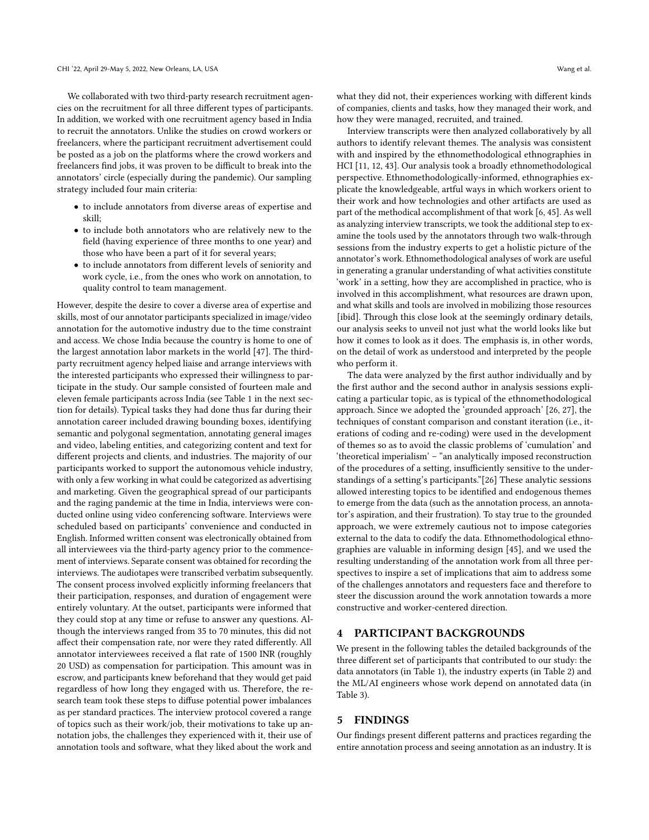We collaborated with two third-party research recruitment agencies on the recruitment for all three different types of participants. In addition, we worked with one recruitment agency based in India to recruit the annotators. Unlike the studies on crowd workers or freelancers, where the participant recruitment advertisement could be posted as a job on the platforms where the crowd workers and freelancers find jobs, it was proven to be difficult to break into the annotators' circle (especially during the pandemic). Our sampling strategy included four main criteria:

- to include annotators from diverse areas of expertise and skill;
- to include both annotators who are relatively new to the field (having experience of three months to one year) and those who have been a part of it for several years;
- to include annotators from different levels of seniority and work cycle, i.e., from the ones who work on annotation, to quality control to team management.

However, despite the desire to cover a diverse area of expertise and skills, most of our annotator participants specialized in image/video annotation for the automotive industry due to the time constraint and access. We chose India because the country is home to one of the largest annotation labor markets in the world [\[47\]](#page-15-18). The thirdparty recruitment agency helped liaise and arrange interviews with the interested participants who expressed their willingness to participate in the study. Our sample consisted of fourteen male and eleven female participants across India (see Table 1 in the next section for details). Typical tasks they had done thus far during their annotation career included drawing bounding boxes, identifying semantic and polygonal segmentation, annotating general images and video, labeling entities, and categorizing content and text for different projects and clients, and industries. The majority of our participants worked to support the autonomous vehicle industry, with only a few working in what could be categorized as advertising and marketing. Given the geographical spread of our participants and the raging pandemic at the time in India, interviews were conducted online using video conferencing software. Interviews were scheduled based on participants' convenience and conducted in English. Informed written consent was electronically obtained from all interviewees via the third-party agency prior to the commencement of interviews. Separate consent was obtained for recording the interviews. The audiotapes were transcribed verbatim subsequently. The consent process involved explicitly informing freelancers that their participation, responses, and duration of engagement were entirely voluntary. At the outset, participants were informed that they could stop at any time or refuse to answer any questions. Although the interviews ranged from 35 to 70 minutes, this did not affect their compensation rate, nor were they rated differently. All annotator interviewees received a flat rate of 1500 INR (roughly 20 USD) as compensation for participation. This amount was in escrow, and participants knew beforehand that they would get paid regardless of how long they engaged with us. Therefore, the research team took these steps to diffuse potential power imbalances as per standard practices. The interview protocol covered a range of topics such as their work/job, their motivations to take up annotation jobs, the challenges they experienced with it, their use of annotation tools and software, what they liked about the work and

what they did not, their experiences working with different kinds of companies, clients and tasks, how they managed their work, and how they were managed, recruited, and trained.

Interview transcripts were then analyzed collaboratively by all authors to identify relevant themes. The analysis was consistent with and inspired by the ethnomethodological ethnographies in HCI [\[11,](#page-14-31) [12,](#page-14-32) [43\]](#page-15-19). Our analysis took a broadly ethnomethodological perspective. Ethnomethodologically-informed, ethnographies explicate the knowledgeable, artful ways in which workers orient to their work and how technologies and other artifacts are used as part of the methodical accomplishment of that work [\[6,](#page-14-33) [45\]](#page-15-20). As well as analyzing interview transcripts, we took the additional step to examine the tools used by the annotators through two walk-through sessions from the industry experts to get a holistic picture of the annotator's work. Ethnomethodological analyses of work are useful in generating a granular understanding of what activities constitute 'work' in a setting, how they are accomplished in practice, who is involved in this accomplishment, what resources are drawn upon, and what skills and tools are involved in mobilizing those resources [ibid]. Through this close look at the seemingly ordinary details, our analysis seeks to unveil not just what the world looks like but how it comes to look as it does. The emphasis is, in other words, on the detail of work as understood and interpreted by the people who perform it.

The data were analyzed by the first author individually and by the first author and the second author in analysis sessions explicating a particular topic, as is typical of the ethnomethodological approach. Since we adopted the 'grounded approach' [\[26,](#page-14-29) [27\]](#page-14-30), the techniques of constant comparison and constant iteration (i.e., iterations of coding and re-coding) were used in the development of themes so as to avoid the classic problems of 'cumulation' and 'theoretical imperialism' – "an analytically imposed reconstruction of the procedures of a setting, insufficiently sensitive to the understandings of a setting's participants."[\[26\]](#page-14-29) These analytic sessions allowed interesting topics to be identified and endogenous themes to emerge from the data (such as the annotation process, an annotator's aspiration, and their frustration). To stay true to the grounded approach, we were extremely cautious not to impose categories external to the data to codify the data. Ethnomethodological ethnographies are valuable in informing design [\[45\]](#page-15-20), and we used the resulting understanding of the annotation work from all three perspectives to inspire a set of implications that aim to address some of the challenges annotators and requesters face and therefore to steer the discussion around the work annotation towards a more constructive and worker-centered direction.

## 4 PARTICIPANT BACKGROUNDS

We present in the following tables the detailed backgrounds of the three different set of participants that contributed to our study: the data annotators (in Table 1), the industry experts (in Table 2) and the ML/AI engineers whose work depend on annotated data (in Table 3).

## 5 FINDINGS

Our findings present different patterns and practices regarding the entire annotation process and seeing annotation as an industry. It is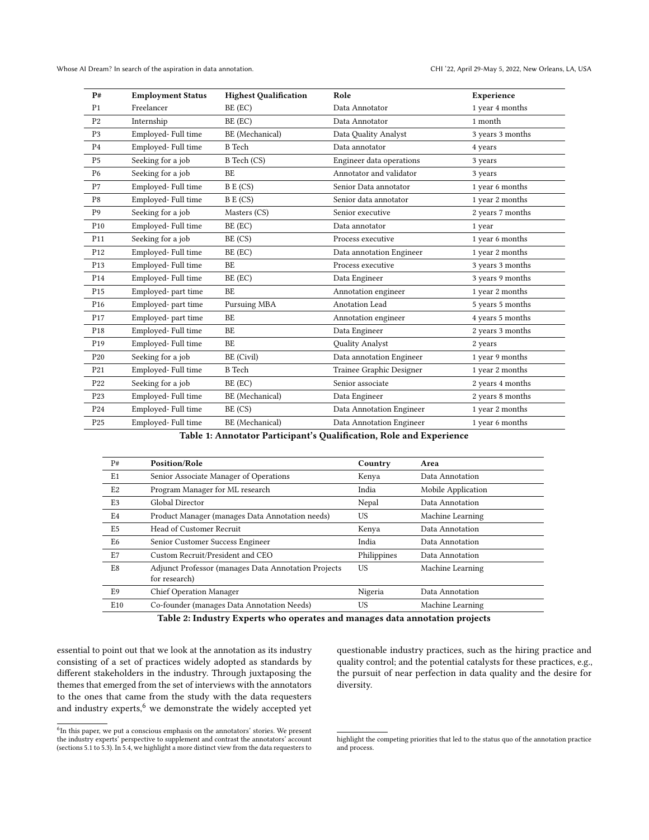| P#              | <b>Employment Status</b> | <b>Highest Qualification</b> | Role                     | Experience       |
|-----------------|--------------------------|------------------------------|--------------------------|------------------|
| P <sub>1</sub>  | Freelancer               | BE (EC)                      | Data Annotator           | 1 year 4 months  |
| P <sub>2</sub>  | Internship               | BE (EC)                      | Data Annotator           | 1 month          |
| P <sub>3</sub>  | Employed- Full time      | BE (Mechanical)              | Data Quality Analyst     | 3 years 3 months |
| P <sub>4</sub>  | Employed-Full time       | <b>B</b> Tech                | Data annotator           | 4 years          |
| P <sub>5</sub>  | Seeking for a job        | B Tech (CS)                  | Engineer data operations | 3 years          |
| P <sub>6</sub>  | Seeking for a job        | BE                           | Annotator and validator  | 3 years          |
| P7              | Employed- Full time      | BE (CS)                      | Senior Data annotator    | 1 year 6 months  |
| P8              | Employed- Full time      | BE (CS)                      | Senior data annotator    | 1 year 2 months  |
| P <sub>9</sub>  | Seeking for a job        | Masters (CS)                 | Senior executive         | 2 years 7 months |
| P <sub>10</sub> | Employed- Full time      | BE (EC)                      | Data annotator           | 1 year           |
| P <sub>11</sub> | Seeking for a job        | BE (CS)                      | Process executive        | 1 year 6 months  |
| P <sub>12</sub> | Employed- Full time      | BE (EC)                      | Data annotation Engineer | 1 year 2 months  |
| P <sub>13</sub> | Employed- Full time      | BE                           | Process executive        | 3 years 3 months |
| P <sub>14</sub> | Employed- Full time      | BE (EC)                      | Data Engineer            | 3 years 9 months |
| P <sub>15</sub> | Employed- part time      | BE                           | Annotation engineer      | 1 year 2 months  |
| P <sub>16</sub> | Employed- part time      | Pursuing MBA                 | Anotation Lead           | 5 years 5 months |
| P <sub>17</sub> | Employed- part time      | BE                           | Annotation engineer      | 4 years 5 months |
| P <sub>18</sub> | Employed- Full time      | BE                           | Data Engineer            | 2 years 3 months |
| P <sub>19</sub> | Employed-Full time       | BE                           | Quality Analyst          | 2 years          |
| P <sub>20</sub> | Seeking for a job        | BE (Civil)                   | Data annotation Engineer | 1 year 9 months  |
| P <sub>21</sub> | Employed- Full time      | <b>B</b> Tech                | Trainee Graphic Designer | 1 year 2 months  |
| P <sub>22</sub> | Seeking for a job        | BE (EC)                      | Senior associate         | 2 years 4 months |
| P <sub>23</sub> | Employed-Full time       | BE (Mechanical)              | Data Engineer            | 2 years 8 months |
| P <sub>24</sub> | Employed- Full time      | BE (CS)                      | Data Annotation Engineer | 1 year 2 months  |
| P <sub>25</sub> | Employed- Full time      | BE (Mechanical)              | Data Annotation Engineer | 1 year 6 months  |

Table 1: Annotator Participant's Qualification, Role and Experience

| P#             | Position/Role                                                        | Country     | Area               |
|----------------|----------------------------------------------------------------------|-------------|--------------------|
| E <sub>1</sub> | Senior Associate Manager of Operations                               | Kenya       | Data Annotation    |
| E <sub>2</sub> | Program Manager for ML research                                      | India       | Mobile Application |
| E <sub>3</sub> | Global Director                                                      | Nepal       | Data Annotation    |
| E <sub>4</sub> | Product Manager (manages Data Annotation needs)                      | US          | Machine Learning   |
| E <sub>5</sub> | Head of Customer Recruit                                             | Kenya       | Data Annotation    |
| E <sub>6</sub> | Senior Customer Success Engineer                                     | India       | Data Annotation    |
| E <sub>7</sub> | Custom Recruit/President and CEO                                     | Philippines | Data Annotation    |
| E <sub>8</sub> | Adjunct Professor (manages Data Annotation Projects<br>for research) | US          | Machine Learning   |
| E9             | <b>Chief Operation Manager</b>                                       | Nigeria     | Data Annotation    |
| E10            | Co-founder (manages Data Annotation Needs)                           | <b>US</b>   | Machine Learning   |

Table 2: Industry Experts who operates and manages data annotation projects

essential to point out that we look at the annotation as its industry consisting of a set of practices widely adopted as standards by different stakeholders in the industry. Through juxtaposing the themes that emerged from the set of interviews with the annotators to the ones that came from the study with the data requesters and industry experts, $6$  we demonstrate the widely accepted yet

questionable industry practices, such as the hiring practice and quality control; and the potential catalysts for these practices, e.g., the pursuit of near perfection in data quality and the desire for diversity.

<span id="page-4-0"></span><sup>&</sup>lt;sup>6</sup>In this paper, we put a conscious emphasis on the annotators' stories. We present the industry experts' perspective to supplement and contrast the annotators' account (sections 5.1 to 5.3). In 5.4, we highlight a more distinct view from the data requesters to

highlight the competing priorities that led to the status quo of the annotation practice and process.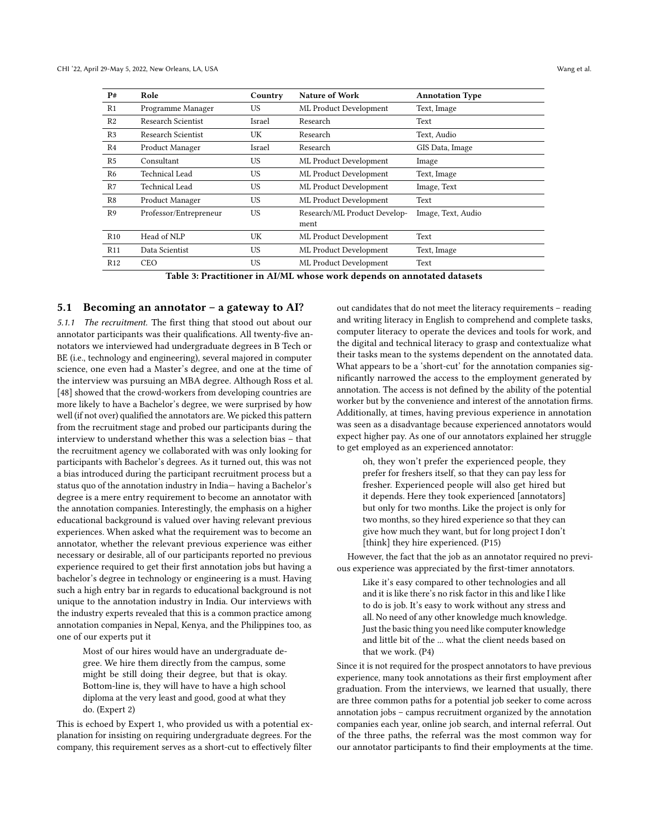| P#              | Role                   | Country   | <b>Nature of Work</b>        | <b>Annotation Type</b> |
|-----------------|------------------------|-----------|------------------------------|------------------------|
| R <sub>1</sub>  | Programme Manager      | US        | ML Product Development       | Text, Image            |
| R <sub>2</sub>  | Research Scientist     | Israel    | Research                     | Text                   |
| R <sub>3</sub>  | Research Scientist     | UK        | Research                     | Text, Audio            |
| R <sub>4</sub>  | Product Manager        | Israel    | Research                     | GIS Data, Image        |
| R <sub>5</sub>  | Consultant             | US        | ML Product Development       | Image                  |
| R <sub>6</sub>  | Technical Lead         | <b>US</b> | ML Product Development       | Text, Image            |
| R7              | Technical Lead         | <b>US</b> | ML Product Development       | Image, Text            |
| R8              | Product Manager        | US        | ML Product Development       | Text                   |
| R <sub>9</sub>  | Professor/Entrepreneur | <b>US</b> | Research/ML Product Develop- | Image, Text, Audio     |
|                 |                        |           | ment                         |                        |
| R10             | Head of NLP            | UK        | ML Product Development       | Text                   |
| R11             | Data Scientist         | <b>US</b> | ML Product Development       | Text, Image            |
| R <sub>12</sub> | CEO                    | <b>US</b> | ML Product Development       | Text                   |

Table 3: Practitioner in AI/ML whose work depends on annotated datasets

## 5.1 Becoming an annotator – a gateway to AI?

5.1.1 The recruitment. The first thing that stood out about our annotator participants was their qualifications. All twenty-five annotators we interviewed had undergraduate degrees in B Tech or BE (i.e., technology and engineering), several majored in computer science, one even had a Master's degree, and one at the time of the interview was pursuing an MBA degree. Although Ross et al. [\[48\]](#page-15-21) showed that the crowd-workers from developing countries are more likely to have a Bachelor's degree, we were surprised by how well (if not over) qualified the annotators are. We picked this pattern from the recruitment stage and probed our participants during the interview to understand whether this was a selection bias – that the recruitment agency we collaborated with was only looking for participants with Bachelor's degrees. As it turned out, this was not a bias introduced during the participant recruitment process but a status quo of the annotation industry in India— having a Bachelor's degree is a mere entry requirement to become an annotator with the annotation companies. Interestingly, the emphasis on a higher educational background is valued over having relevant previous experiences. When asked what the requirement was to become an annotator, whether the relevant previous experience was either necessary or desirable, all of our participants reported no previous experience required to get their first annotation jobs but having a bachelor's degree in technology or engineering is a must. Having such a high entry bar in regards to educational background is not unique to the annotation industry in India. Our interviews with the industry experts revealed that this is a common practice among annotation companies in Nepal, Kenya, and the Philippines too, as one of our experts put it

Most of our hires would have an undergraduate degree. We hire them directly from the campus, some might be still doing their degree, but that is okay. Bottom-line is, they will have to have a high school diploma at the very least and good, good at what they do. (Expert 2)

This is echoed by Expert 1, who provided us with a potential explanation for insisting on requiring undergraduate degrees. For the company, this requirement serves as a short-cut to effectively filter

out candidates that do not meet the literacy requirements – reading and writing literacy in English to comprehend and complete tasks, computer literacy to operate the devices and tools for work, and the digital and technical literacy to grasp and contextualize what their tasks mean to the systems dependent on the annotated data. What appears to be a 'short-cut' for the annotation companies significantly narrowed the access to the employment generated by annotation. The access is not defined by the ability of the potential worker but by the convenience and interest of the annotation firms. Additionally, at times, having previous experience in annotation was seen as a disadvantage because experienced annotators would expect higher pay. As one of our annotators explained her struggle to get employed as an experienced annotator:

> oh, they won't prefer the experienced people, they prefer for freshers itself, so that they can pay less for fresher. Experienced people will also get hired but it depends. Here they took experienced [annotators] but only for two months. Like the project is only for two months, so they hired experience so that they can give how much they want, but for long project I don't [think] they hire experienced. (P15)

However, the fact that the job as an annotator required no previous experience was appreciated by the first-timer annotators.

Like it's easy compared to other technologies and all and it is like there's no risk factor in this and like I like to do is job. It's easy to work without any stress and all. No need of any other knowledge much knowledge. Just the basic thing you need like computer knowledge and little bit of the ... what the client needs based on that we work. (P4)

Since it is not required for the prospect annotators to have previous experience, many took annotations as their first employment after graduation. From the interviews, we learned that usually, there are three common paths for a potential job seeker to come across annotation jobs – campus recruitment organized by the annotation companies each year, online job search, and internal referral. Out of the three paths, the referral was the most common way for our annotator participants to find their employments at the time.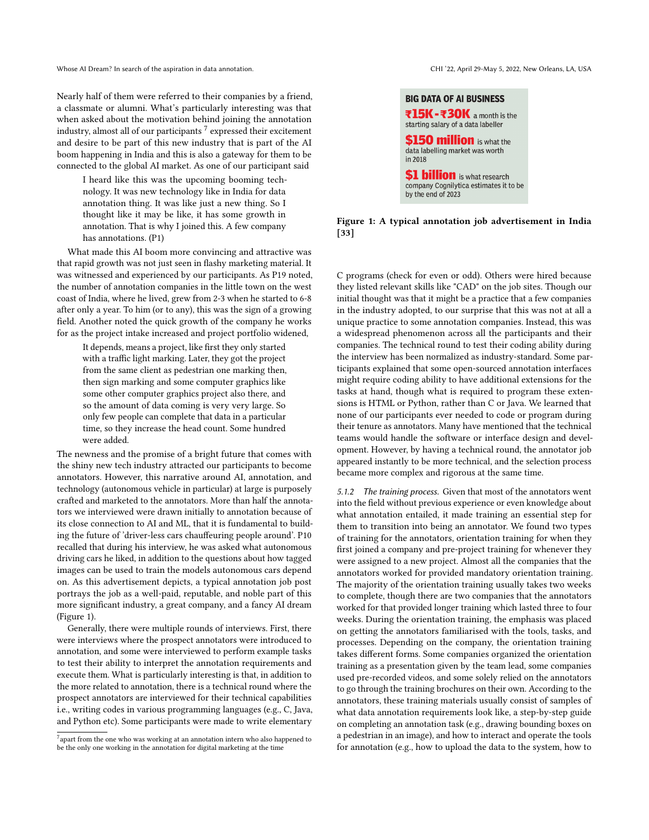Nearly half of them were referred to their companies by a friend, a classmate or alumni. What's particularly interesting was that when asked about the motivation behind joining the annotation industry, almost all of our participants  $^7$  $^7$  expressed their excitement and desire to be part of this new industry that is part of the AI boom happening in India and this is also a gateway for them to be connected to the global AI market. As one of our participant said

I heard like this was the upcoming booming technology. It was new technology like in India for data annotation thing. It was like just a new thing. So I thought like it may be like, it has some growth in annotation. That is why I joined this. A few company has annotations. (P1)

What made this AI boom more convincing and attractive was that rapid growth was not just seen in flashy marketing material. It was witnessed and experienced by our participants. As P19 noted, the number of annotation companies in the little town on the west coast of India, where he lived, grew from 2-3 when he started to 6-8 after only a year. To him (or to any), this was the sign of a growing field. Another noted the quick growth of the company he works for as the project intake increased and project portfolio widened,

It depends, means a project, like first they only started with a traffic light marking. Later, they got the project from the same client as pedestrian one marking then, then sign marking and some computer graphics like some other computer graphics project also there, and so the amount of data coming is very very large. So only few people can complete that data in a particular time, so they increase the head count. Some hundred were added.

The newness and the promise of a bright future that comes with the shiny new tech industry attracted our participants to become annotators. However, this narrative around AI, annotation, and technology (autonomous vehicle in particular) at large is purposely crafted and marketed to the annotators. More than half the annotators we interviewed were drawn initially to annotation because of its close connection to AI and ML, that it is fundamental to building the future of 'driver-less cars chauffeuring people around'. P10 recalled that during his interview, he was asked what autonomous driving cars he liked, in addition to the questions about how tagged images can be used to train the models autonomous cars depend on. As this advertisement depicts, a typical annotation job post portrays the job as a well-paid, reputable, and noble part of this more significant industry, a great company, and a fancy AI dream (Figure [1\)](#page-6-1).

Generally, there were multiple rounds of interviews. First, there were interviews where the prospect annotators were introduced to annotation, and some were interviewed to perform example tasks to test their ability to interpret the annotation requirements and execute them. What is particularly interesting is that, in addition to the more related to annotation, there is a technical round where the prospect annotators are interviewed for their technical capabilities i.e., writing codes in various programming languages (e.g., C, Java, and Python etc). Some participants were made to write elementary

<span id="page-6-1"></span>

Figure 1: A typical annotation job advertisement in India [\[33\]](#page-14-3)

C programs (check for even or odd). Others were hired because they listed relevant skills like "CAD" on the job sites. Though our initial thought was that it might be a practice that a few companies in the industry adopted, to our surprise that this was not at all a unique practice to some annotation companies. Instead, this was a widespread phenomenon across all the participants and their companies. The technical round to test their coding ability during the interview has been normalized as industry-standard. Some participants explained that some open-sourced annotation interfaces might require coding ability to have additional extensions for the tasks at hand, though what is required to program these extensions is HTML or Python, rather than C or Java. We learned that none of our participants ever needed to code or program during their tenure as annotators. Many have mentioned that the technical teams would handle the software or interface design and development. However, by having a technical round, the annotator job appeared instantly to be more technical, and the selection process became more complex and rigorous at the same time.

5.1.2 The training process. Given that most of the annotators went into the field without previous experience or even knowledge about what annotation entailed, it made training an essential step for them to transition into being an annotator. We found two types of training for the annotators, orientation training for when they first joined a company and pre-project training for whenever they were assigned to a new project. Almost all the companies that the annotators worked for provided mandatory orientation training. The majority of the orientation training usually takes two weeks to complete, though there are two companies that the annotators worked for that provided longer training which lasted three to four weeks. During the orientation training, the emphasis was placed on getting the annotators familiarised with the tools, tasks, and processes. Depending on the company, the orientation training takes different forms. Some companies organized the orientation training as a presentation given by the team lead, some companies used pre-recorded videos, and some solely relied on the annotators to go through the training brochures on their own. According to the annotators, these training materials usually consist of samples of what data annotation requirements look like, a step-by-step guide on completing an annotation task (e.g., drawing bounding boxes on a pedestrian in an image), and how to interact and operate the tools for annotation (e.g., how to upload the data to the system, how to

<span id="page-6-0"></span> $^7$ apart from the one who was working at an annotation intern who also happened to be the only one working in the annotation for digital marketing at the time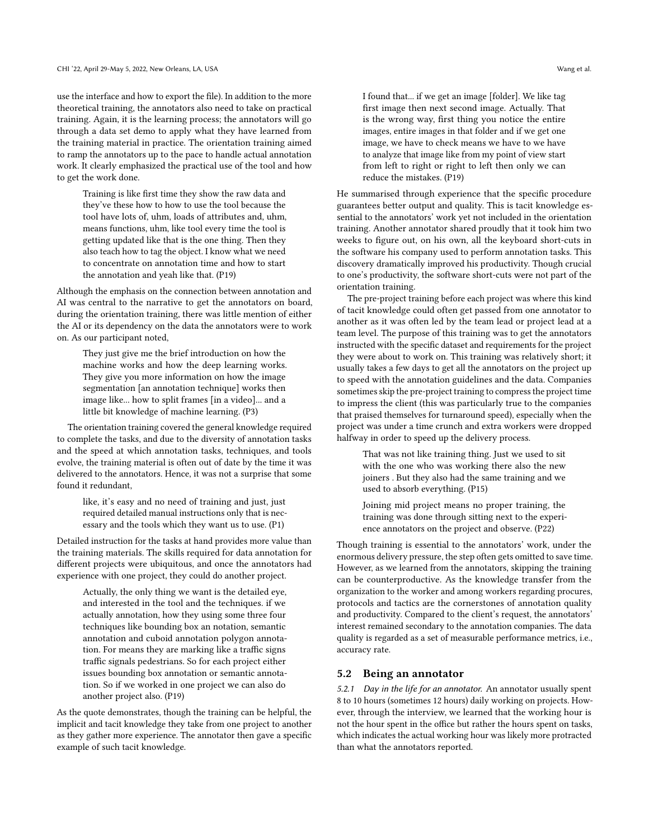use the interface and how to export the file). In addition to the more theoretical training, the annotators also need to take on practical training. Again, it is the learning process; the annotators will go through a data set demo to apply what they have learned from the training material in practice. The orientation training aimed to ramp the annotators up to the pace to handle actual annotation work. It clearly emphasized the practical use of the tool and how to get the work done.

> Training is like first time they show the raw data and they've these how to how to use the tool because the tool have lots of, uhm, loads of attributes and, uhm, means functions, uhm, like tool every time the tool is getting updated like that is the one thing. Then they also teach how to tag the object. I know what we need to concentrate on annotation time and how to start the annotation and yeah like that. (P19)

Although the emphasis on the connection between annotation and AI was central to the narrative to get the annotators on board, during the orientation training, there was little mention of either the AI or its dependency on the data the annotators were to work on. As our participant noted,

They just give me the brief introduction on how the machine works and how the deep learning works. They give you more information on how the image segmentation [an annotation technique] works then image like... how to split frames [in a video]... and a little bit knowledge of machine learning. (P3)

The orientation training covered the general knowledge required to complete the tasks, and due to the diversity of annotation tasks and the speed at which annotation tasks, techniques, and tools evolve, the training material is often out of date by the time it was delivered to the annotators. Hence, it was not a surprise that some found it redundant,

like, it's easy and no need of training and just, just required detailed manual instructions only that is necessary and the tools which they want us to use. (P1)

Detailed instruction for the tasks at hand provides more value than the training materials. The skills required for data annotation for different projects were ubiquitous, and once the annotators had experience with one project, they could do another project.

Actually, the only thing we want is the detailed eye, and interested in the tool and the techniques. if we actually annotation, how they using some three four techniques like bounding box an notation, semantic annotation and cuboid annotation polygon annotation. For means they are marking like a traffic signs traffic signals pedestrians. So for each project either issues bounding box annotation or semantic annotation. So if we worked in one project we can also do another project also. (P19)

As the quote demonstrates, though the training can be helpful, the implicit and tacit knowledge they take from one project to another as they gather more experience. The annotator then gave a specific example of such tacit knowledge.

I found that... if we get an image [folder]. We like tag first image then next second image. Actually. That is the wrong way, first thing you notice the entire images, entire images in that folder and if we get one image, we have to check means we have to we have to analyze that image like from my point of view start from left to right or right to left then only we can

He summarised through experience that the specific procedure guarantees better output and quality. This is tacit knowledge essential to the annotators' work yet not included in the orientation training. Another annotator shared proudly that it took him two weeks to figure out, on his own, all the keyboard short-cuts in the software his company used to perform annotation tasks. This discovery dramatically improved his productivity. Though crucial to one's productivity, the software short-cuts were not part of the orientation training.

reduce the mistakes. (P19)

The pre-project training before each project was where this kind of tacit knowledge could often get passed from one annotator to another as it was often led by the team lead or project lead at a team level. The purpose of this training was to get the annotators instructed with the specific dataset and requirements for the project they were about to work on. This training was relatively short; it usually takes a few days to get all the annotators on the project up to speed with the annotation guidelines and the data. Companies sometimes skip the pre-project training to compress the project time to impress the client (this was particularly true to the companies that praised themselves for turnaround speed), especially when the project was under a time crunch and extra workers were dropped halfway in order to speed up the delivery process.

That was not like training thing. Just we used to sit with the one who was working there also the new joiners . But they also had the same training and we used to absorb everything. (P15)

Joining mid project means no proper training, the training was done through sitting next to the experience annotators on the project and observe. (P22)

Though training is essential to the annotators' work, under the enormous delivery pressure, the step often gets omitted to save time. However, as we learned from the annotators, skipping the training can be counterproductive. As the knowledge transfer from the organization to the worker and among workers regarding procures, protocols and tactics are the cornerstones of annotation quality and productivity. Compared to the client's request, the annotators' interest remained secondary to the annotation companies. The data quality is regarded as a set of measurable performance metrics, i.e., accuracy rate.

#### 5.2 Being an annotator

5.2.1 Day in the life for an annotator. An annotator usually spent 8 to 10 hours (sometimes 12 hours) daily working on projects. However, through the interview, we learned that the working hour is not the hour spent in the office but rather the hours spent on tasks, which indicates the actual working hour was likely more protracted than what the annotators reported.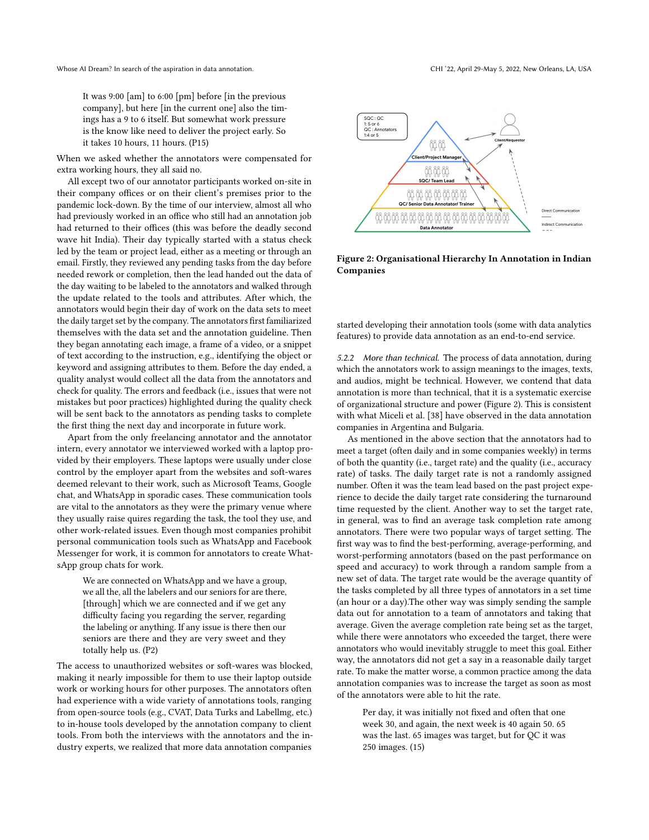It was 9:00 [am] to 6:00 [pm] before [in the previous company], but here [in the current one] also the timings has a 9 to 6 itself. But somewhat work pressure is the know like need to deliver the project early. So it takes 10 hours, 11 hours. (P15)

When we asked whether the annotators were compensated for extra working hours, they all said no.

All except two of our annotator participants worked on-site in their company offices or on their client's premises prior to the pandemic lock-down. By the time of our interview, almost all who had previously worked in an office who still had an annotation job had returned to their offices (this was before the deadly second wave hit India). Their day typically started with a status check led by the team or project lead, either as a meeting or through an email. Firstly, they reviewed any pending tasks from the day before needed rework or completion, then the lead handed out the data of the day waiting to be labeled to the annotators and walked through the update related to the tools and attributes. After which, the annotators would begin their day of work on the data sets to meet the daily target set by the company. The annotators first familiarized themselves with the data set and the annotation guideline. Then they began annotating each image, a frame of a video, or a snippet of text according to the instruction, e.g., identifying the object or keyword and assigning attributes to them. Before the day ended, a quality analyst would collect all the data from the annotators and check for quality. The errors and feedback (i.e., issues that were not mistakes but poor practices) highlighted during the quality check will be sent back to the annotators as pending tasks to complete the first thing the next day and incorporate in future work.

Apart from the only freelancing annotator and the annotator intern, every annotator we interviewed worked with a laptop provided by their employers. These laptops were usually under close control by the employer apart from the websites and soft-wares deemed relevant to their work, such as Microsoft Teams, Google chat, and WhatsApp in sporadic cases. These communication tools are vital to the annotators as they were the primary venue where they usually raise quires regarding the task, the tool they use, and other work-related issues. Even though most companies prohibit personal communication tools such as WhatsApp and Facebook Messenger for work, it is common for annotators to create WhatsApp group chats for work.

We are connected on WhatsApp and we have a group, we all the, all the labelers and our seniors for are there, [through] which we are connected and if we get any difficulty facing you regarding the server, regarding the labeling or anything. If any issue is there then our seniors are there and they are very sweet and they totally help us. (P2)

The access to unauthorized websites or soft-wares was blocked, making it nearly impossible for them to use their laptop outside work or working hours for other purposes. The annotators often had experience with a wide variety of annotations tools, ranging from open-source tools (e.g., CVAT, Data Turks and Labellmg, etc.) to in-house tools developed by the annotation company to client tools. From both the interviews with the annotators and the industry experts, we realized that more data annotation companies

<span id="page-8-0"></span>

Figure 2: Organisational Hierarchy In Annotation in Indian Companies

started developing their annotation tools (some with data analytics features) to provide data annotation as an end-to-end service.

5.2.2 More than technical. The process of data annotation, during which the annotators work to assign meanings to the images, texts, and audios, might be technical. However, we contend that data annotation is more than technical, that it is a systematic exercise of organizational structure and power (Figure [2\)](#page-8-0). This is consistent with what Miceli et al. [\[38\]](#page-15-12) have observed in the data annotation companies in Argentina and Bulgaria.

As mentioned in the above section that the annotators had to meet a target (often daily and in some companies weekly) in terms of both the quantity (i.e., target rate) and the quality (i.e., accuracy rate) of tasks. The daily target rate is not a randomly assigned number. Often it was the team lead based on the past project experience to decide the daily target rate considering the turnaround time requested by the client. Another way to set the target rate, in general, was to find an average task completion rate among annotators. There were two popular ways of target setting. The first way was to find the best-performing, average-performing, and worst-performing annotators (based on the past performance on speed and accuracy) to work through a random sample from a new set of data. The target rate would be the average quantity of the tasks completed by all three types of annotators in a set time (an hour or a day).The other way was simply sending the sample data out for annotation to a team of annotators and taking that average. Given the average completion rate being set as the target, while there were annotators who exceeded the target, there were annotators who would inevitably struggle to meet this goal. Either way, the annotators did not get a say in a reasonable daily target rate. To make the matter worse, a common practice among the data annotation companies was to increase the target as soon as most of the annotators were able to hit the rate.

Per day, it was initially not fixed and often that one week 30, and again, the next week is 40 again 50. 65 was the last. 65 images was target, but for QC it was 250 images. (15)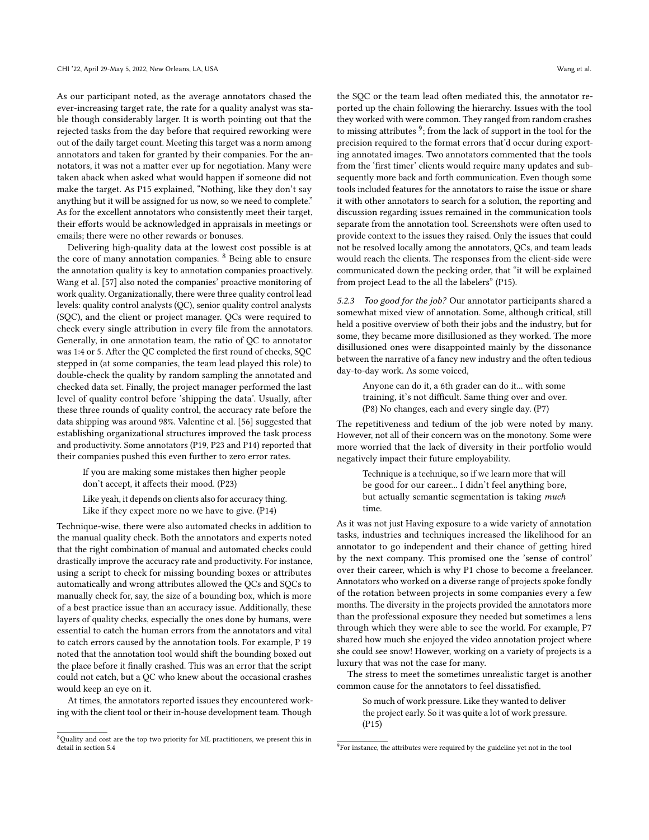As our participant noted, as the average annotators chased the ever-increasing target rate, the rate for a quality analyst was stable though considerably larger. It is worth pointing out that the rejected tasks from the day before that required reworking were out of the daily target count. Meeting this target was a norm among annotators and taken for granted by their companies. For the annotators, it was not a matter ever up for negotiation. Many were taken aback when asked what would happen if someone did not make the target. As P15 explained, "Nothing, like they don't say anything but it will be assigned for us now, so we need to complete." As for the excellent annotators who consistently meet their target, their efforts would be acknowledged in appraisals in meetings or emails; there were no other rewards or bonuses.

Delivering high-quality data at the lowest cost possible is at the core of many annotation companies. [8](#page-9-0) Being able to ensure the annotation quality is key to annotation companies proactively. Wang et al. [\[57\]](#page-15-15) also noted the companies' proactive monitoring of work quality. Organizationally, there were three quality control lead levels: quality control analysts (QC), senior quality control analysts (SQC), and the client or project manager. QCs were required to check every single attribution in every file from the annotators. Generally, in one annotation team, the ratio of QC to annotator was 1:4 or 5. After the QC completed the first round of checks, SQC stepped in (at some companies, the team lead played this role) to double-check the quality by random sampling the annotated and checked data set. Finally, the project manager performed the last level of quality control before 'shipping the data'. Usually, after these three rounds of quality control, the accuracy rate before the data shipping was around 98%. Valentine et al. [\[56\]](#page-15-22) suggested that establishing organizational structures improved the task process and productivity. Some annotators (P19, P23 and P14) reported that their companies pushed this even further to zero error rates.

If you are making some mistakes then higher people don't accept, it affects their mood. (P23)

Like yeah, it depends on clients also for accuracy thing. Like if they expect more no we have to give. (P14)

Technique-wise, there were also automated checks in addition to the manual quality check. Both the annotators and experts noted that the right combination of manual and automated checks could drastically improve the accuracy rate and productivity. For instance, using a script to check for missing bounding boxes or attributes automatically and wrong attributes allowed the QCs and SQCs to manually check for, say, the size of a bounding box, which is more of a best practice issue than an accuracy issue. Additionally, these layers of quality checks, especially the ones done by humans, were essential to catch the human errors from the annotators and vital to catch errors caused by the annotation tools. For example, P 19 noted that the annotation tool would shift the bounding boxed out the place before it finally crashed. This was an error that the script could not catch, but a QC who knew about the occasional crashes would keep an eye on it.

At times, the annotators reported issues they encountered working with the client tool or their in-house development team. Though

the SQC or the team lead often mediated this, the annotator reported up the chain following the hierarchy. Issues with the tool they worked with were common. They ranged from random crashes to missing attributes  $9$ ; from the lack of support in the tool for the precision required to the format errors that'd occur during exporting annotated images. Two annotators commented that the tools from the 'first timer' clients would require many updates and subsequently more back and forth communication. Even though some tools included features for the annotators to raise the issue or share it with other annotators to search for a solution, the reporting and discussion regarding issues remained in the communication tools separate from the annotation tool. Screenshots were often used to provide context to the issues they raised. Only the issues that could not be resolved locally among the annotators, QCs, and team leads would reach the clients. The responses from the client-side were communicated down the pecking order, that "it will be explained from project Lead to the all the labelers" (P15).

5.2.3 Too good for the job? Our annotator participants shared a somewhat mixed view of annotation. Some, although critical, still held a positive overview of both their jobs and the industry, but for some, they became more disillusioned as they worked. The more disillusioned ones were disappointed mainly by the dissonance between the narrative of a fancy new industry and the often tedious day-to-day work. As some voiced,

Anyone can do it, a 6th grader can do it... with some training, it's not difficult. Same thing over and over. (P8) No changes, each and every single day. (P7)

The repetitiveness and tedium of the job were noted by many. However, not all of their concern was on the monotony. Some were more worried that the lack of diversity in their portfolio would negatively impact their future employability.

> Technique is a technique, so if we learn more that will be good for our career... I didn't feel anything bore, but actually semantic segmentation is taking much time.

As it was not just Having exposure to a wide variety of annotation tasks, industries and techniques increased the likelihood for an annotator to go independent and their chance of getting hired by the next company. This promised one the 'sense of control' over their career, which is why P1 chose to become a freelancer. Annotators who worked on a diverse range of projects spoke fondly of the rotation between projects in some companies every a few months. The diversity in the projects provided the annotators more than the professional exposure they needed but sometimes a lens through which they were able to see the world. For example, P7 shared how much she enjoyed the video annotation project where she could see snow! However, working on a variety of projects is a luxury that was not the case for many.

The stress to meet the sometimes unrealistic target is another common cause for the annotators to feel dissatisfied.

So much of work pressure. Like they wanted to deliver the project early. So it was quite a lot of work pressure. (P15)

<span id="page-9-0"></span><sup>8</sup>Quality and cost are the top two priority for ML practitioners, we present this in detail in section 5.4

<span id="page-9-1"></span><sup>&</sup>lt;sup>9</sup>For instance, the attributes were required by the guideline yet not in the tool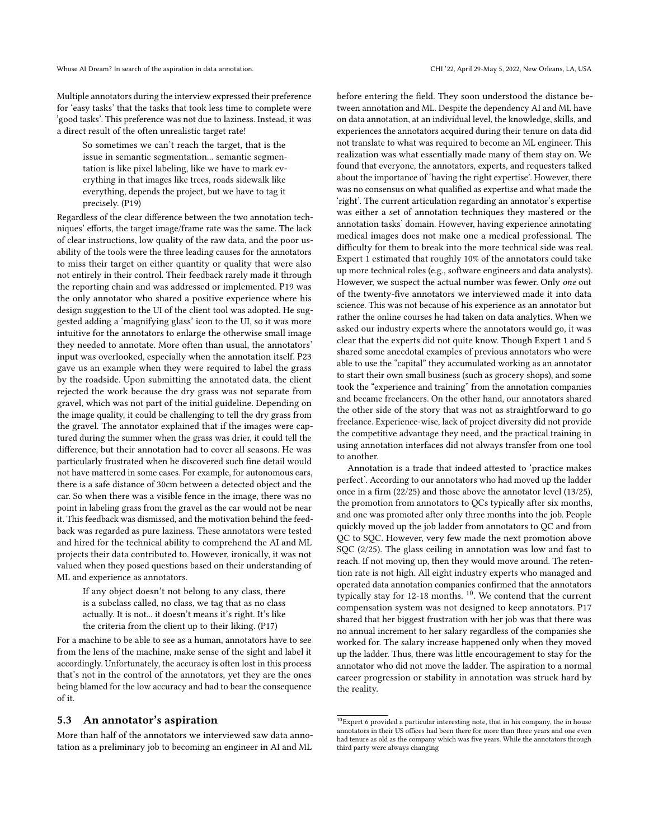Multiple annotators during the interview expressed their preference for 'easy tasks' that the tasks that took less time to complete were 'good tasks'. This preference was not due to laziness. Instead, it was a direct result of the often unrealistic target rate!

So sometimes we can't reach the target, that is the issue in semantic segmentation... semantic segmentation is like pixel labeling, like we have to mark everything in that images like trees, roads sidewalk like everything, depends the project, but we have to tag it precisely. (P19)

Regardless of the clear difference between the two annotation techniques' efforts, the target image/frame rate was the same. The lack of clear instructions, low quality of the raw data, and the poor usability of the tools were the three leading causes for the annotators to miss their target on either quantity or quality that were also not entirely in their control. Their feedback rarely made it through the reporting chain and was addressed or implemented. P19 was the only annotator who shared a positive experience where his design suggestion to the UI of the client tool was adopted. He suggested adding a 'magnifying glass' icon to the UI, so it was more intuitive for the annotators to enlarge the otherwise small image they needed to annotate. More often than usual, the annotators' input was overlooked, especially when the annotation itself. P23 gave us an example when they were required to label the grass by the roadside. Upon submitting the annotated data, the client rejected the work because the dry grass was not separate from gravel, which was not part of the initial guideline. Depending on the image quality, it could be challenging to tell the dry grass from the gravel. The annotator explained that if the images were captured during the summer when the grass was drier, it could tell the difference, but their annotation had to cover all seasons. He was particularly frustrated when he discovered such fine detail would not have mattered in some cases. For example, for autonomous cars, there is a safe distance of 30cm between a detected object and the car. So when there was a visible fence in the image, there was no point in labeling grass from the gravel as the car would not be near it. This feedback was dismissed, and the motivation behind the feedback was regarded as pure laziness. These annotators were tested and hired for the technical ability to comprehend the AI and ML projects their data contributed to. However, ironically, it was not valued when they posed questions based on their understanding of ML and experience as annotators.

If any object doesn't not belong to any class, there is a subclass called, no class, we tag that as no class actually. It is not... it doesn't means it's right. It's like the criteria from the client up to their liking. (P17)

For a machine to be able to see as a human, annotators have to see from the lens of the machine, make sense of the sight and label it accordingly. Unfortunately, the accuracy is often lost in this process that's not in the control of the annotators, yet they are the ones being blamed for the low accuracy and had to bear the consequence of it.

## 5.3 An annotator's aspiration

More than half of the annotators we interviewed saw data annotation as a preliminary job to becoming an engineer in AI and ML

before entering the field. They soon understood the distance between annotation and ML. Despite the dependency AI and ML have on data annotation, at an individual level, the knowledge, skills, and experiences the annotators acquired during their tenure on data did not translate to what was required to become an ML engineer. This realization was what essentially made many of them stay on. We found that everyone, the annotators, experts, and requesters talked about the importance of 'having the right expertise'. However, there was no consensus on what qualified as expertise and what made the 'right'. The current articulation regarding an annotator's expertise was either a set of annotation techniques they mastered or the annotation tasks' domain. However, having experience annotating medical images does not make one a medical professional. The difficulty for them to break into the more technical side was real. Expert 1 estimated that roughly 10% of the annotators could take up more technical roles (e.g., software engineers and data analysts). However, we suspect the actual number was fewer. Only one out of the twenty-five annotators we interviewed made it into data science. This was not because of his experience as an annotator but rather the online courses he had taken on data analytics. When we asked our industry experts where the annotators would go, it was clear that the experts did not quite know. Though Expert 1 and 5 shared some anecdotal examples of previous annotators who were able to use the "capital" they accumulated working as an annotator to start their own small business (such as grocery shops), and some took the "experience and training" from the annotation companies and became freelancers. On the other hand, our annotators shared the other side of the story that was not as straightforward to go freelance. Experience-wise, lack of project diversity did not provide the competitive advantage they need, and the practical training in using annotation interfaces did not always transfer from one tool to another.

Annotation is a trade that indeed attested to 'practice makes perfect'. According to our annotators who had moved up the ladder once in a firm (22/25) and those above the annotator level (13/25), the promotion from annotators to QCs typically after six months, and one was promoted after only three months into the job. People quickly moved up the job ladder from annotators to QC and from QC to SQC. However, very few made the next promotion above SQC (2/25). The glass ceiling in annotation was low and fast to reach. If not moving up, then they would move around. The retention rate is not high. All eight industry experts who managed and operated data annotation companies confirmed that the annotators typically stay for 12-18 months. <sup>[10](#page-10-0)</sup>. We contend that the current compensation system was not designed to keep annotators. P17 shared that her biggest frustration with her job was that there was no annual increment to her salary regardless of the companies she worked for. The salary increase happened only when they moved up the ladder. Thus, there was little encouragement to stay for the annotator who did not move the ladder. The aspiration to a normal career progression or stability in annotation was struck hard by the reality.

<span id="page-10-0"></span> $\overline{{}^{10}\text{Expert}}$  6 provided a particular interesting note, that in his company, the in house annotators in their US offices had been there for more than three years and one even had tenure as old as the company which was five years. While the annotators through third party were always changing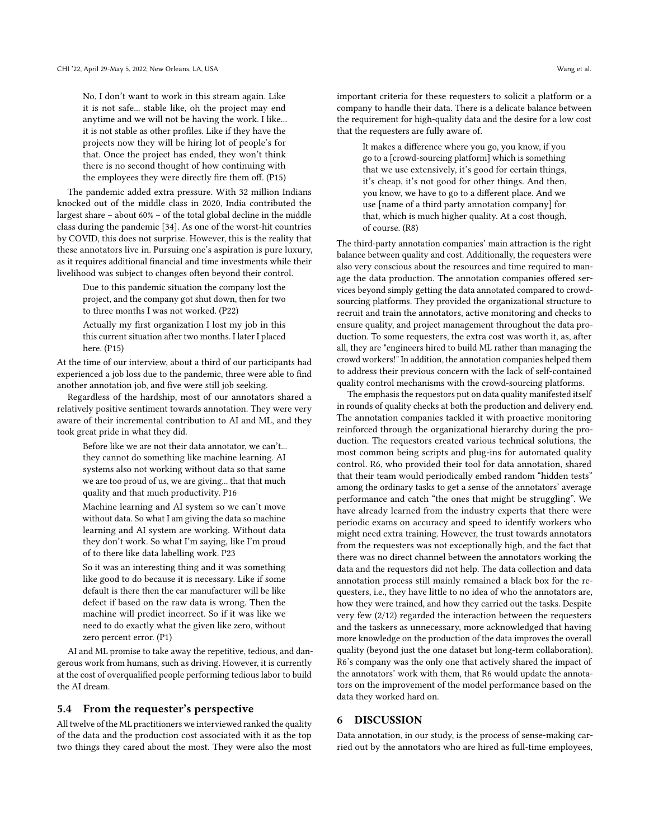No, I don't want to work in this stream again. Like it is not safe... stable like, oh the project may end anytime and we will not be having the work. I like... it is not stable as other profiles. Like if they have the projects now they will be hiring lot of people's for that. Once the project has ended, they won't think there is no second thought of how continuing with the employees they were directly fire them off. (P15)

The pandemic added extra pressure. With 32 million Indians knocked out of the middle class in 2020, India contributed the largest share – about 60% – of the total global decline in the middle class during the pandemic [\[34\]](#page-14-34). As one of the worst-hit countries by COVID, this does not surprise. However, this is the reality that these annotators live in. Pursuing one's aspiration is pure luxury, as it requires additional financial and time investments while their livelihood was subject to changes often beyond their control.

Due to this pandemic situation the company lost the project, and the company got shut down, then for two to three months I was not worked. (P22)

Actually my first organization I lost my job in this this current situation after two months. I later I placed here. (P15)

At the time of our interview, about a third of our participants had experienced a job loss due to the pandemic, three were able to find another annotation job, and five were still job seeking.

Regardless of the hardship, most of our annotators shared a relatively positive sentiment towards annotation. They were very aware of their incremental contribution to AI and ML, and they took great pride in what they did.

Before like we are not their data annotator, we can't... they cannot do something like machine learning. AI systems also not working without data so that same we are too proud of us, we are giving... that that much quality and that much productivity. P16

Machine learning and AI system so we can't move without data. So what I am giving the data so machine learning and AI system are working. Without data they don't work. So what I'm saying, like I'm proud of to there like data labelling work. P23

So it was an interesting thing and it was something like good to do because it is necessary. Like if some default is there then the car manufacturer will be like defect if based on the raw data is wrong. Then the machine will predict incorrect. So if it was like we need to do exactly what the given like zero, without zero percent error. (P1)

AI and ML promise to take away the repetitive, tedious, and dangerous work from humans, such as driving. However, it is currently at the cost of overqualified people performing tedious labor to build the AI dream.

#### 5.4 From the requester's perspective

All twelve of the ML practitioners we interviewed ranked the quality of the data and the production cost associated with it as the top two things they cared about the most. They were also the most

important criteria for these requesters to solicit a platform or a company to handle their data. There is a delicate balance between the requirement for high-quality data and the desire for a low cost that the requesters are fully aware of.

It makes a difference where you go, you know, if you go to a [crowd-sourcing platform] which is something that we use extensively, it's good for certain things, it's cheap, it's not good for other things. And then, you know, we have to go to a different place. And we use [name of a third party annotation company] for that, which is much higher quality. At a cost though, of course. (R8)

The third-party annotation companies' main attraction is the right balance between quality and cost. Additionally, the requesters were also very conscious about the resources and time required to manage the data production. The annotation companies offered services beyond simply getting the data annotated compared to crowdsourcing platforms. They provided the organizational structure to recruit and train the annotators, active monitoring and checks to ensure quality, and project management throughout the data production. To some requesters, the extra cost was worth it, as, after all, they are "engineers hired to build ML rather than managing the crowd workers!" In addition, the annotation companies helped them to address their previous concern with the lack of self-contained quality control mechanisms with the crowd-sourcing platforms.

The emphasis the requestors put on data quality manifested itself in rounds of quality checks at both the production and delivery end. The annotation companies tackled it with proactive monitoring reinforced through the organizational hierarchy during the production. The requestors created various technical solutions, the most common being scripts and plug-ins for automated quality control. R6, who provided their tool for data annotation, shared that their team would periodically embed random "hidden tests" among the ordinary tasks to get a sense of the annotators' average performance and catch "the ones that might be struggling". We have already learned from the industry experts that there were periodic exams on accuracy and speed to identify workers who might need extra training. However, the trust towards annotators from the requesters was not exceptionally high, and the fact that there was no direct channel between the annotators working the data and the requestors did not help. The data collection and data annotation process still mainly remained a black box for the requesters, i.e., they have little to no idea of who the annotators are, how they were trained, and how they carried out the tasks. Despite very few (2/12) regarded the interaction between the requesters and the taskers as unnecessary, more acknowledged that having more knowledge on the production of the data improves the overall quality (beyond just the one dataset but long-term collaboration). R6's company was the only one that actively shared the impact of the annotators' work with them, that R6 would update the annotators on the improvement of the model performance based on the data they worked hard on.

#### 6 DISCUSSION

Data annotation, in our study, is the process of sense-making carried out by the annotators who are hired as full-time employees,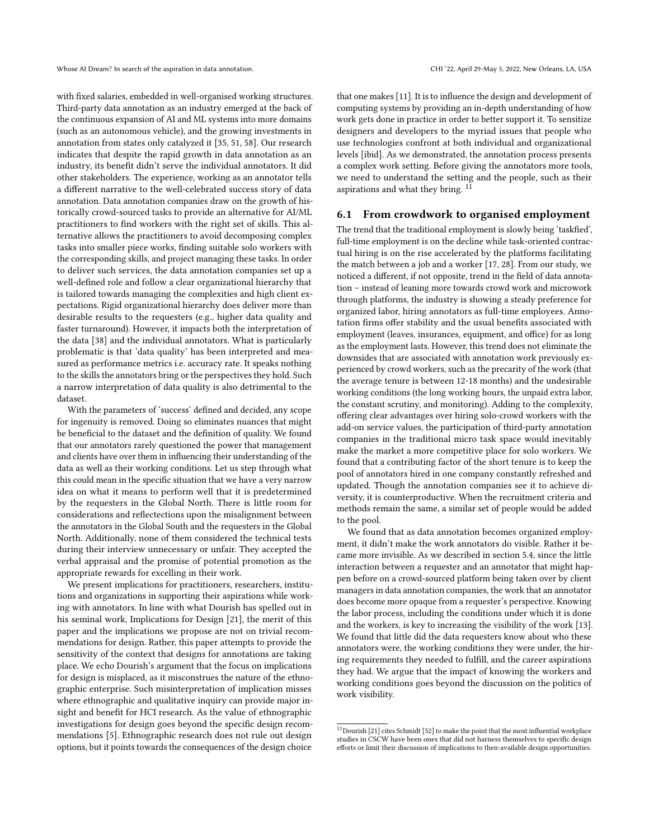with fixed salaries, embedded in well-organised working structures. Third-party data annotation as an industry emerged at the back of the continuous expansion of AI and ML systems into more domains (such as an autonomous vehicle), and the growing investments in annotation from states only catalyzed it [\[35,](#page-14-4) [51,](#page-15-3) [58\]](#page-15-4). Our research indicates that despite the rapid growth in data annotation as an industry, its benefit didn't serve the individual annotators. It did other stakeholders. The experience, working as an annotator tells a different narrative to the well-celebrated success story of data annotation. Data annotation companies draw on the growth of historically crowd-sourced tasks to provide an alternative for AI/ML practitioners to find workers with the right set of skills. This alternative allows the practitioners to avoid decomposing complex tasks into smaller piece works, finding suitable solo workers with the corresponding skills, and project managing these tasks. In order to deliver such services, the data annotation companies set up a well-defined role and follow a clear organizational hierarchy that is tailored towards managing the complexities and high client expectations. Rigid organizational hierarchy does deliver more than desirable results to the requesters (e.g., higher data quality and faster turnaround). However, it impacts both the interpretation of the data [\[38\]](#page-15-12) and the individual annotators. What is particularly problematic is that 'data quality' has been interpreted and measured as performance metrics i.e. accuracy rate. It speaks nothing to the skills the annotators bring or the perspectives they hold. Such a narrow interpretation of data quality is also detrimental to the dataset.

With the parameters of 'success' defined and decided, any scope for ingenuity is removed. Doing so eliminates nuances that might be beneficial to the dataset and the definition of quality. We found that our annotators rarely questioned the power that management and clients have over them in influencing their understanding of the data as well as their working conditions. Let us step through what this could mean in the specific situation that we have a very narrow idea on what it means to perform well that it is predetermined by the requesters in the Global North. There is little room for considerations and reflectections upon the misalignment between the annotators in the Global South and the requesters in the Global North. Additionally, none of them considered the technical tests during their interview unnecessary or unfair. They accepted the verbal appraisal and the promise of potential promotion as the appropriate rewards for excelling in their work.

We present implications for practitioners, researchers, institutions and organizations in supporting their aspirations while working with annotators. In line with what Dourish has spelled out in his seminal work, Implications for Design [\[21\]](#page-14-14), the merit of this paper and the implications we propose are not on trivial recommendations for design. Rather, this paper attempts to provide the sensitivity of the context that designs for annotations are taking place. We echo Dourish's argument that the focus on implications for design is misplaced, as it misconstrues the nature of the ethnographic enterprise. Such misinterpretation of implication misses where ethnographic and qualitative inquiry can provide major insight and benefit for HCI research. As the value of ethnographic investigations for design goes beyond the specific design recommendations [\[5\]](#page-14-13). Ethnographic research does not rule out design options, but it points towards the consequences of the design choice

that one makes [\[11\]](#page-14-31). It is to influence the design and development of computing systems by providing an in-depth understanding of how work gets done in practice in order to better support it. To sensitize designers and developers to the myriad issues that people who use technologies confront at both individual and organizational levels [ibid]. As we demonstrated, the annotation process presents a complex work setting. Before giving the annotators more tools, we need to understand the setting and the people, such as their aspirations and what they bring. [11](#page-12-0)

## 6.1 From crowdwork to organised employment

The trend that the traditional employment is slowly being 'taskfied', full-time employment is on the decline while task-oriented contractual hiring is on the rise accelerated by the platforms facilitating the match between a job and a worker [\[17,](#page-14-10) [28\]](#page-14-2). From our study, we noticed a different, if not opposite, trend in the field of data annotation – instead of leaning more towards crowd work and microwork through platforms, the industry is showing a steady preference for organized labor, hiring annotators as full-time employees. Annotation firms offer stability and the usual benefits associated with employment (leaves, insurances, equipment, and office) for as long as the employment lasts. However, this trend does not eliminate the downsides that are associated with annotation work previously experienced by crowd workers, such as the precarity of the work (that the average tenure is between 12-18 months) and the undesirable working conditions (the long working hours, the unpaid extra labor, the constant scrutiny, and monitoring). Adding to the complexity, offering clear advantages over hiring solo-crowd workers with the add-on service values, the participation of third-party annotation companies in the traditional micro task space would inevitably make the market a more competitive place for solo workers. We found that a contributing factor of the short tenure is to keep the pool of annotators hired in one company constantly refreshed and updated. Though the annotation companies see it to achieve diversity, it is counterproductive. When the recruitment criteria and methods remain the same, a similar set of people would be added to the pool.

We found that as data annotation becomes organized employment, it didn't make the work annotators do visible. Rather it became more invisible. As we described in section 5.4, since the little interaction between a requester and an annotator that might happen before on a crowd-sourced platform being taken over by client managers in data annotation companies, the work that an annotator does become more opaque from a requester's perspective. Knowing the labor process, including the conditions under which it is done and the workers, is key to increasing the visibility of the work [\[13\]](#page-14-12). We found that little did the data requesters know about who these annotators were, the working conditions they were under, the hiring requirements they needed to fulfill, and the career aspirations they had. We argue that the impact of knowing the workers and working conditions goes beyond the discussion on the politics of work visibility.

<span id="page-12-0"></span> $^{11}\rm{Downish}$  [\[21\]](#page-14-14) cites Schmidt [\[52\]](#page-15-23) to make the point that the most influential workplace studies in CSCW have been ones that did not harness themselves to specific design efforts or limit their discussion of implications to then-available design opportunities.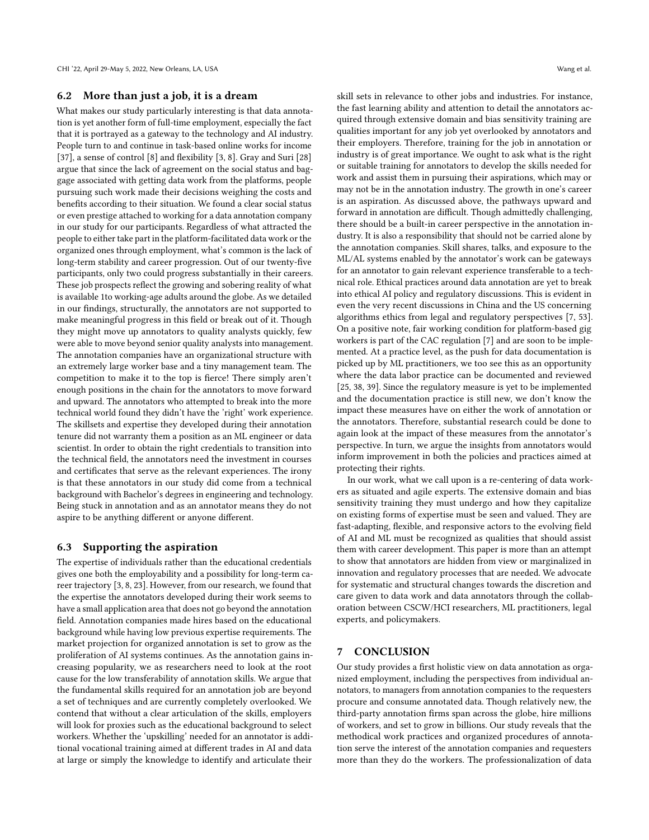## 6.2 More than just a job, it is a dream

What makes our study particularly interesting is that data annotation is yet another form of full-time employment, especially the fact that it is portrayed as a gateway to the technology and AI industry. People turn to and continue in task-based online works for income [\[37\]](#page-15-1), a sense of control [\[8\]](#page-14-19) and flexibility [\[3,](#page-14-18) [8\]](#page-14-19). Gray and Suri [\[28\]](#page-14-2) argue that since the lack of agreement on the social status and baggage associated with getting data work from the platforms, people pursuing such work made their decisions weighing the costs and benefits according to their situation. We found a clear social status or even prestige attached to working for a data annotation company in our study for our participants. Regardless of what attracted the people to either take part in the platform-facilitated data work or the organized ones through employment, what's common is the lack of long-term stability and career progression. Out of our twenty-five participants, only two could progress substantially in their careers. These job prospects reflect the growing and sobering reality of what is available 1to working-age adults around the globe. As we detailed in our findings, structurally, the annotators are not supported to make meaningful progress in this field or break out of it. Though they might move up annotators to quality analysts quickly, few were able to move beyond senior quality analysts into management. The annotation companies have an organizational structure with an extremely large worker base and a tiny management team. The competition to make it to the top is fierce! There simply aren't enough positions in the chain for the annotators to move forward and upward. The annotators who attempted to break into the more technical world found they didn't have the 'right' work experience. The skillsets and expertise they developed during their annotation tenure did not warranty them a position as an ML engineer or data scientist. In order to obtain the right credentials to transition into the technical field, the annotators need the investment in courses and certificates that serve as the relevant experiences. The irony is that these annotators in our study did come from a technical background with Bachelor's degrees in engineering and technology. Being stuck in annotation and as an annotator means they do not aspire to be anything different or anyone different.

## 6.3 Supporting the aspiration

The expertise of individuals rather than the educational credentials gives one both the employability and a possibility for long-term career trajectory [\[3,](#page-14-18) [8,](#page-14-19) [23\]](#page-14-17). However, from our research, we found that the expertise the annotators developed during their work seems to have a small application area that does not go beyond the annotation field. Annotation companies made hires based on the educational background while having low previous expertise requirements. The market projection for organized annotation is set to grow as the proliferation of AI systems continues. As the annotation gains increasing popularity, we as researchers need to look at the root cause for the low transferability of annotation skills. We argue that the fundamental skills required for an annotation job are beyond a set of techniques and are currently completely overlooked. We contend that without a clear articulation of the skills, employers will look for proxies such as the educational background to select workers. Whether the 'upskilling' needed for an annotator is additional vocational training aimed at different trades in AI and data at large or simply the knowledge to identify and articulate their

skill sets in relevance to other jobs and industries. For instance, the fast learning ability and attention to detail the annotators acquired through extensive domain and bias sensitivity training are qualities important for any job yet overlooked by annotators and their employers. Therefore, training for the job in annotation or industry is of great importance. We ought to ask what is the right or suitable training for annotators to develop the skills needed for work and assist them in pursuing their aspirations, which may or may not be in the annotation industry. The growth in one's career is an aspiration. As discussed above, the pathways upward and forward in annotation are difficult. Though admittedly challenging, there should be a built-in career perspective in the annotation industry. It is also a responsibility that should not be carried alone by the annotation companies. Skill shares, talks, and exposure to the ML/AL systems enabled by the annotator's work can be gateways for an annotator to gain relevant experience transferable to a technical role. Ethical practices around data annotation are yet to break into ethical AI policy and regulatory discussions. This is evident in even the very recent discussions in China and the US concerning algorithms ethics from legal and regulatory perspectives [\[7,](#page-14-28) [53\]](#page-15-17). On a positive note, fair working condition for platform-based gig workers is part of the CAC regulation [\[7\]](#page-14-28) and are soon to be implemented. At a practice level, as the push for data documentation is picked up by ML practitioners, we too see this as an opportunity where the data labor practice can be documented and reviewed [\[25,](#page-14-25) [38,](#page-15-12) [39\]](#page-15-6). Since the regulatory measure is yet to be implemented and the documentation practice is still new, we don't know the impact these measures have on either the work of annotation or the annotators. Therefore, substantial research could be done to again look at the impact of these measures from the annotator's perspective. In turn, we argue the insights from annotators would inform improvement in both the policies and practices aimed at protecting their rights.

In our work, what we call upon is a re-centering of data workers as situated and agile experts. The extensive domain and bias sensitivity training they must undergo and how they capitalize on existing forms of expertise must be seen and valued. They are fast-adapting, flexible, and responsive actors to the evolving field of AI and ML must be recognized as qualities that should assist them with career development. This paper is more than an attempt to show that annotators are hidden from view or marginalized in innovation and regulatory processes that are needed. We advocate for systematic and structural changes towards the discretion and care given to data work and data annotators through the collaboration between CSCW/HCI researchers, ML practitioners, legal experts, and policymakers.

## 7 CONCLUSION

Our study provides a first holistic view on data annotation as organized employment, including the perspectives from individual annotators, to managers from annotation companies to the requesters procure and consume annotated data. Though relatively new, the third-party annotation firms span across the globe, hire millions of workers, and set to grow in billions. Our study reveals that the methodical work practices and organized procedures of annotation serve the interest of the annotation companies and requesters more than they do the workers. The professionalization of data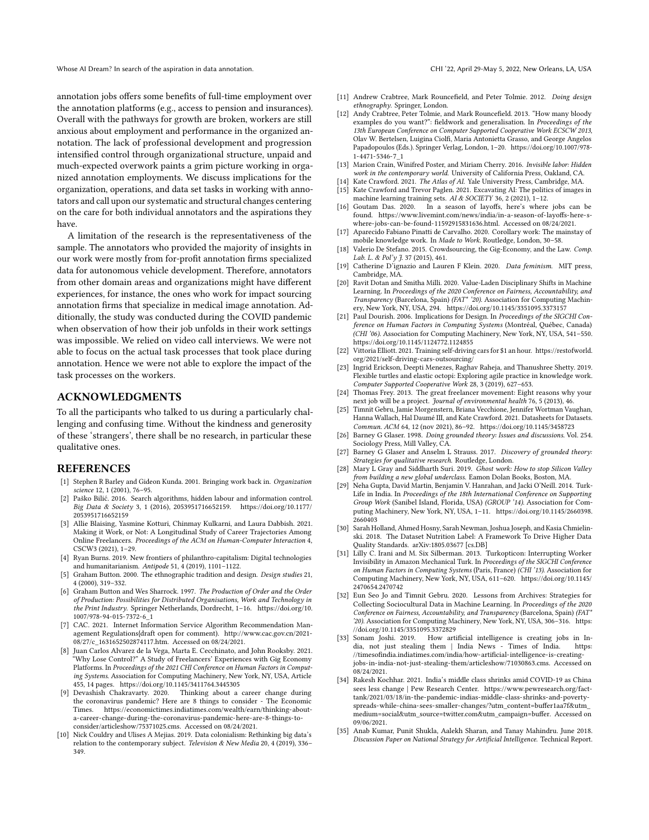annotation jobs offers some benefits of full-time employment over the annotation platforms (e.g., access to pension and insurances). Overall with the pathways for growth are broken, workers are still anxious about employment and performance in the organized annotation. The lack of professional development and progression intensified control through organizational structure, unpaid and much-expected overwork paints a grim picture working in organized annotation employments. We discuss implications for the organization, operations, and data set tasks in working with annotators and call upon our systematic and structural changes centering on the care for both individual annotators and the aspirations they have.

A limitation of the research is the representativeness of the sample. The annotators who provided the majority of insights in our work were mostly from for-profit annotation firms specialized data for autonomous vehicle development. Therefore, annotators from other domain areas and organizations might have different experiences, for instance, the ones who work for impact sourcing annotation firms that specialize in medical image annotation. Additionally, the study was conducted during the COVID pandemic when observation of how their job unfolds in their work settings was impossible. We relied on video call interviews. We were not able to focus on the actual task processes that took place during annotation. Hence we were not able to explore the impact of the task processes on the workers.

## ACKNOWLEDGMENTS

To all the participants who talked to us during a particularly challenging and confusing time. Without the kindness and generosity of these 'strangers', there shall be no research, in particular these qualitative ones.

## REFERENCES

- <span id="page-14-11"></span>[1] Stephen R Barley and Gideon Kunda. 2001. Bringing work back in. Organization science 12, 1 (2001), 76–95.
- <span id="page-14-15"></span>[2] Paško Bilić. 2016. Search algorithms, hidden labour and information control. Big Data & Society 3, 1 (2016), 2053951716652159. [https://doi.org/10.1177/](https://doi.org/10.1177/2053951716652159) [2053951716652159](https://doi.org/10.1177/2053951716652159)
- <span id="page-14-18"></span>[3] Allie Blaising, Yasmine Kotturi, Chinmay Kulkarni, and Laura Dabbish. 2021. Making it Work, or Not: A Longitudinal Study of Career Trajectories Among Online Freelancers. Proceedings of the ACM on Human-Computer Interaction 4, CSCW3 (2021), 1–29.
- <span id="page-14-23"></span>[4] Ryan Burns. 2019. New frontiers of philanthro-capitalism: Digital technologies and humanitarianism. Antipode 51, 4 (2019), 1101–1122.
- <span id="page-14-13"></span>[5] Graham Button. 2000. The ethnographic tradition and design. Design studies 21, 4 (2000), 319–332.
- <span id="page-14-33"></span>[6] Graham Button and Wes Sharrock. 1997. The Production of Order and the Order of Production: Possibilities for Distributed Organisations, Work and Technology in the Print Industry. Springer Netherlands, Dordrecht, 1–16. [https://doi.org/10.](https://doi.org/10.1007/978-94-015-7372-6_1) [1007/978-94-015-7372-6\\_1](https://doi.org/10.1007/978-94-015-7372-6_1)
- <span id="page-14-28"></span>[7] CAC. 2021. Internet Information Service Algorithm Recommendation Management Regulations{draft open for comment). [http://www.cac.gov.cn/2021-](http://www.cac.gov.cn/2021-08/27/c_1631652502874117.htm) [08/27/c\\_1631652502874117.htm.](http://www.cac.gov.cn/2021-08/27/c_1631652502874117.htm) Accessed on 08/24/2021.
- <span id="page-14-19"></span>[8] Juan Carlos Alvarez de la Vega, Marta E. Cecchinato, and John Rooksby. 2021. "Why Lose Control?" A Study of Freelancers' Experiences with Gig Economy Platforms. In Proceedings of the 2021 CHI Conference on Human Factors in Computing Systems. Association for Computing Machinery, New York, NY, USA, Article 455, 14 pages.<https://doi.org/10.1145/3411764.3445305>
- <span id="page-14-0"></span>[9] Devashish Chakravarty. 2020. Thinking about a career change during the coronavirus pandemic? Here are 8 things to consider - The Economic<br>Times https://economictimes.indiatimes.com/wealth/earn/thinking-abouthttps://economictimes.indiatimes.com/wealth/earn/thinking-about[a-career-change-during-the-coronavirus-pandemic-here-are-8-things-to](https://economictimes.indiatimes.com/wealth/earn/thinking-about-a-career-change-during-the-coronavirus-pandemic-here-are-8-things-to-consider/articleshow/75371025.cms)[consider/articleshow/75371025.cms.](https://economictimes.indiatimes.com/wealth/earn/thinking-about-a-career-change-during-the-coronavirus-pandemic-here-are-8-things-to-consider/articleshow/75371025.cms) Accessed on 08/24/2021.
- <span id="page-14-24"></span>[10] Nick Couldry and Ulises A Mejias. 2019. Data colonialism: Rethinking big data's relation to the contemporary subject. Television & New Media 20, 4 (2019), 336– 349.
- <span id="page-14-31"></span>[11] Andrew Crabtree, Mark Rouncefield, and Peter Tolmie. 2012. Doing design ethnography. Springer, London.
- <span id="page-14-32"></span>[12] Andy Crabtree, Peter Tolmie, and Mark Rouncefield. 2013. "How many bloody examples do you want?": fieldwork and generalisation. In Proceedings of the 13th European Conference on Computer Supported Cooperative Work ECSCW 2013, Olav W. Bertelsen, Luigina Ciolfi, Maria Antonietta Grasso, and George Angelos Papadopoulos (Eds.). Springer Verlag, London, 1–20. [https://doi.org/10.1007/978-](https://doi.org/10.1007/978-1-4471-5346-7_1) [1-4471-5346-7\\_1](https://doi.org/10.1007/978-1-4471-5346-7_1)
- <span id="page-14-12"></span>[13] Marion Crain, Winifred Poster, and Miriam Cherry. 2016. Invisible labor: Hidden work in the contemporary world. University of California Press, Oakland, CA.
- <span id="page-14-6"></span>[14] Kate Crawford. 2021. The Atlas of AI. Yale University Press, Cambridge, MA.<br>[15] Kate Crawford and Trevor Paglen. 2021. Excavating AI: The politics of images
- <span id="page-14-21"></span>Kate Crawford and Trevor Paglen. 2021. Excavating AI: The politics of images in machine learning training sets. AI & SOCIETY 36, 2 (2021), 1–12.
- <span id="page-14-1"></span>[16] Goutam Das. 2020. In a season of layoffs, here's where jobs can be found. [https://www.livemint.com/news/india/in-a-season-of-layoffs-here-s](https://www.livemint.com/news/india/in-a-season-of-layoffs-here-s-where-jobs-can-be-found-11592915831636.html)[where-jobs-can-be-found-11592915831636.html.](https://www.livemint.com/news/india/in-a-season-of-layoffs-here-s-where-jobs-can-be-found-11592915831636.html) Accessed on 08/24/2021.
- <span id="page-14-10"></span>[17] Aparecido Fabiano Pinatti de Carvalho. 2020. Corollary work: The mainstay of mobile knowledge work. In Made to Work. Routledge, London, 30–58.
- <span id="page-14-20"></span>[18] Valerio De Stefano. 2015. Crowdsourcing, the Gig-Economy, and the Law. Comp. Lab. L. & Pol'y J. 37 (2015), 461.
- <span id="page-14-22"></span>[19] Catherine D'ignazio and Lauren F Klein. 2020. Data feminism. MIT press, Cambridge, MA.
- <span id="page-14-8"></span>[20] Ravit Dotan and Smitha Milli. 2020. Value-Laden Disciplinary Shifts in Machine Learning. In Proceedings of the 2020 Conference on Fairness, Accountability, and Transparency (Barcelona, Spain) (FAT\* '20). Association for Computing Machinery, New York, NY, USA, 294.<https://doi.org/10.1145/3351095.3373157>
- <span id="page-14-14"></span>[21] Paul Dourish. 2006. Implications for Design. In Proceedings of the SIGCHI Conference on Human Factors in Computing Systems (Montréal, Québec, Canada) (CHI '06). Association for Computing Machinery, New York, NY, USA, 541–550. <https://doi.org/10.1145/1124772.1124855>
- <span id="page-14-5"></span>[22] Vittoria Elliott. 2021. Training self-driving cars for \$1 an hour. [https://restofworld.](https://restofworld.org/2021/self-driving-cars-outsourcing/) [org/2021/self-driving-cars-outsourcing/](https://restofworld.org/2021/self-driving-cars-outsourcing/)
- <span id="page-14-17"></span>[23] Ingrid Erickson, Deepti Menezes, Raghav Raheja, and Thanushree Shetty. 2019. Flexible turtles and elastic octopi: Exploring agile practice in knowledge work. Computer Supported Cooperative Work 28, 3 (2019), 627–653.
- <span id="page-14-16"></span>[24] Thomas Frey. 2013. The great freelancer movement: Eight reasons why your next job will be a project. Journal of environmental health 76, 5 (2013), 46.
- <span id="page-14-25"></span>[25] Timnit Gebru, Jamie Morgenstern, Briana Vecchione, Jennifer Wortman Vaughan, Hanna Wallach, Hal Daumé III, and Kate Crawford. 2021. Datasheets for Datasets. Commun. ACM 64, 12 (nov 2021), 86–92.<https://doi.org/10.1145/3458723>
- <span id="page-14-29"></span>[26] Barney G Glaser. 1998. Doing grounded theory: Issues and discussions. Vol. 254. Sociology Press, Mill Valley, CA.
- <span id="page-14-30"></span>[27] Barney G Glaser and Anselm L Strauss. 2017. Discovery of grounded theory: Strategies for qualitative research. Routledge, London.
- <span id="page-14-2"></span>[28] Mary L Gray and Siddharth Suri. 2019. Ghost work: How to stop Silicon Valley from building a new global underclass. Eamon Dolan Books, Boston, MA.
- <span id="page-14-9"></span>[29] Neha Gupta, David Martin, Benjamin V. Hanrahan, and Jacki O'Neill. 2014. Turk-Life in India. In Proceedings of the 18th International Conference on Supporting Group Work (Sanibel Island, Florida, USA) (GROUP '14). Association for Computing Machinery, New York, NY, USA, 1–11. [https://doi.org/10.1145/2660398.](https://doi.org/10.1145/2660398.2660403) [2660403](https://doi.org/10.1145/2660398.2660403)
- <span id="page-14-26"></span>[30] Sarah Holland, Ahmed Hosny, Sarah Newman, Joshua Joseph, and Kasia Chmielinski. 2018. The Dataset Nutrition Label: A Framework To Drive Higher Data Quality Standards. arXiv[:1805.03677](https://arxiv.org/abs/1805.03677) [cs.DB]
- <span id="page-14-7"></span>[31] Lilly C. Irani and M. Six Silberman. 2013. Turkopticon: Interrupting Worker Invisibility in Amazon Mechanical Turk. In Proceedings of the SIGCHI Conference on Human Factors in Computing Systems (Paris, France) (CHI '13). Association for Computing Machinery, New York, NY, USA, 611–620. [https://doi.org/10.1145/](https://doi.org/10.1145/2470654.2470742) [2470654.2470742](https://doi.org/10.1145/2470654.2470742)
- <span id="page-14-27"></span>[32] Eun Seo Jo and Timnit Gebru. 2020. Lessons from Archives: Strategies for Collecting Sociocultural Data in Machine Learning. In Proceedings of the 2020 Conference on Fairness, Accountability, and Transparency (Barcelona, Spain) (FAT\* '20). Association for Computing Machinery, New York, NY, USA, 306–316. [https:](https://doi.org/10.1145/3351095.3372829) [//doi.org/10.1145/3351095.3372829](https://doi.org/10.1145/3351095.3372829)
- <span id="page-14-3"></span>[33] Sonam Joshi. 2019. How artificial intelligence is creating jobs in India, not just stealing them  $|$  India News - Times of India. [//timesofindia.indiatimes.com/india/how-artificial-intelligence-is-creating](https://timesofindia.indiatimes.com/india/how-artificial-intelligence-is-creating-jobs-in-india-not-just-stealing-them/articleshow/71030863.cms)[jobs-in-india-not-just-stealing-them/articleshow/71030863.cms.](https://timesofindia.indiatimes.com/india/how-artificial-intelligence-is-creating-jobs-in-india-not-just-stealing-them/articleshow/71030863.cms) Accessed on 08/24/2021.
- <span id="page-14-34"></span>[34] Rakesh Kochhar. 2021. India's middle class shrinks amid COVID-19 as China sees less change | Pew Research Center. [https://www.pewresearch.org/fact](https://www.pewresearch.org/fact-tank/2021/03/18/in-the-pandemic-indias-middle-class-shrinks-and-poverty-spreads-while-china-sees-smaller-changes/?utm_content=buffer1aa7f&utm_medium=social&utm_source=twitter.com&utm_campaign=buffer)[tank/2021/03/18/in-the-pandemic-indias-middle-class-shrinks-and-poverty](https://www.pewresearch.org/fact-tank/2021/03/18/in-the-pandemic-indias-middle-class-shrinks-and-poverty-spreads-while-china-sees-smaller-changes/?utm_content=buffer1aa7f&utm_medium=social&utm_source=twitter.com&utm_campaign=buffer)[spreads-while-china-sees-smaller-changes/?utm\\_content=buffer1aa7f&utm\\_](https://www.pewresearch.org/fact-tank/2021/03/18/in-the-pandemic-indias-middle-class-shrinks-and-poverty-spreads-while-china-sees-smaller-changes/?utm_content=buffer1aa7f&utm_medium=social&utm_source=twitter.com&utm_campaign=buffer) [medium=social&utm\\_source=twitter.com&utm\\_campaign=buffer.](https://www.pewresearch.org/fact-tank/2021/03/18/in-the-pandemic-indias-middle-class-shrinks-and-poverty-spreads-while-china-sees-smaller-changes/?utm_content=buffer1aa7f&utm_medium=social&utm_source=twitter.com&utm_campaign=buffer) Accessed on 09/06/2021.
- <span id="page-14-4"></span>[35] Anab Kumar, Punit Shukla, Aalekh Sharan, and Tanay Mahindru. June 2018. Discussion Paper on National Strategy for Artificial Intelligence. Technical Report.